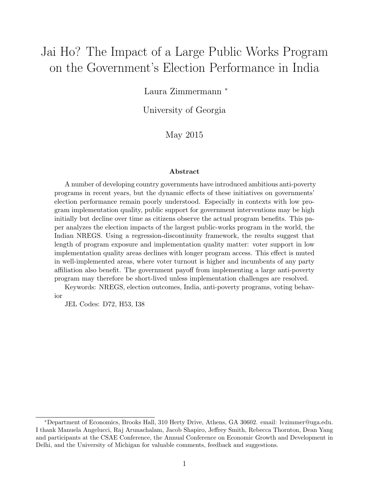# Jai Ho? The Impact of a Large Public Works Program on the Government's Election Performance in India

Laura Zimmermann <sup>∗</sup>

University of Georgia

May 2015

#### Abstract

A number of developing country governments have introduced ambitious anti-poverty programs in recent years, but the dynamic effects of these initiatives on governments' election performance remain poorly understood. Especially in contexts with low program implementation quality, public support for government interventions may be high initially but decline over time as citizens observe the actual program benefits. This paper analyzes the election impacts of the largest public-works program in the world, the Indian NREGS. Using a regression-discontinuity framework, the results suggest that length of program exposure and implementation quality matter: voter support in low implementation quality areas declines with longer program access. This effect is muted in well-implemented areas, where voter turnout is higher and incumbents of any party affiliation also benefit. The government payoff from implementing a large anti-poverty program may therefore be short-lived unless implementation challenges are resolved.

Keywords: NREGS, election outcomes, India, anti-poverty programs, voting behavior

JEL Codes: D72, H53, I38

<sup>∗</sup>Department of Economics, Brooks Hall, 310 Herty Drive, Athens, GA 30602. email: lvzimmer@uga.edu. I thank Manuela Angelucci, Raj Arunachalam, Jacob Shapiro, Jeffrey Smith, Rebecca Thornton, Dean Yang and participants at the CSAE Conference, the Annual Conference on Economic Growth and Development in Delhi, and the University of Michigan for valuable comments, feedback and suggestions.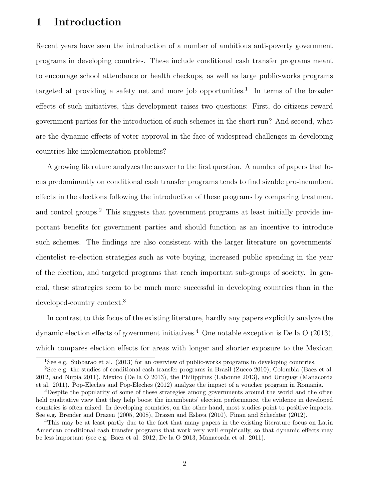# 1 Introduction

Recent years have seen the introduction of a number of ambitious anti-poverty government programs in developing countries. These include conditional cash transfer programs meant to encourage school attendance or health checkups, as well as large public-works programs targeted at providing a safety net and more job opportunities.<sup>1</sup> In terms of the broader effects of such initiatives, this development raises two questions: First, do citizens reward government parties for the introduction of such schemes in the short run? And second, what are the dynamic effects of voter approval in the face of widespread challenges in developing countries like implementation problems?

A growing literature analyzes the answer to the first question. A number of papers that focus predominantly on conditional cash transfer programs tends to find sizable pro-incumbent effects in the elections following the introduction of these programs by comparing treatment and control groups.<sup>2</sup> This suggests that government programs at least initially provide important benefits for government parties and should function as an incentive to introduce such schemes. The findings are also consistent with the larger literature on governments' clientelist re-election strategies such as vote buying, increased public spending in the year of the election, and targeted programs that reach important sub-groups of society. In general, these strategies seem to be much more successful in developing countries than in the developed-country context.<sup>3</sup>

In contrast to this focus of the existing literature, hardly any papers explicitly analyze the dynamic election effects of government initiatives.<sup>4</sup> One notable exception is De la  $O(2013)$ , which compares election effects for areas with longer and shorter exposure to the Mexican

<sup>1</sup>See e.g. Subbarao et al. (2013) for an overview of public-works programs in developing countries.

<sup>2</sup>See e.g. the studies of conditional cash transfer programs in Brazil (Zucco 2010), Colombia (Baez et al. 2012, and Nupia 2011), Mexico (De la O 2013), the Philippines (Labonne 2013), and Uruguay (Manacorda et al. 2011). Pop-Eleches and Pop-Eleches (2012) analyze the impact of a voucher program in Romania.

<sup>&</sup>lt;sup>3</sup>Despite the popularity of some of these strategies among governments around the world and the often held qualitative view that they help boost the incumbents' election performance, the evidence in developed countries is often mixed. In developing countries, on the other hand, most studies point to positive impacts. See e.g. Brender and Drazen (2005, 2008), Drazen and Eslava (2010), Finan and Schechter (2012).

<sup>4</sup>This may be at least partly due to the fact that many papers in the existing literature focus on Latin American conditional cash transfer programs that work very well empirically, so that dynamic effects may be less important (see e.g. Baez et al. 2012, De la O 2013, Manacorda et al. 2011).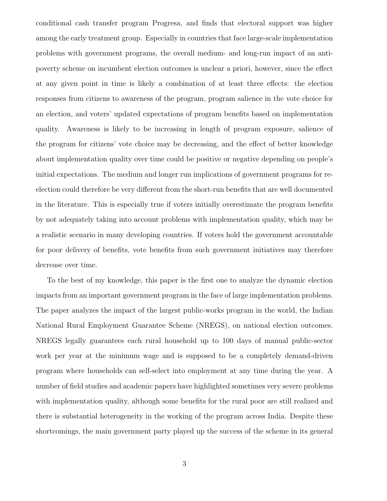conditional cash transfer program Progresa, and finds that electoral support was higher among the early treatment group. Especially in countries that face large-scale implementation problems with government programs, the overall medium- and long-run impact of an antipoverty scheme on incumbent election outcomes is unclear a priori, however, since the effect at any given point in time is likely a combination of at least three effects: the election responses from citizens to awareness of the program, program salience in the vote choice for an election, and voters' updated expectations of program benefits based on implementation quality. Awareness is likely to be increasing in length of program exposure, salience of the program for citizens' vote choice may be decreasing, and the effect of better knowledge about implementation quality over time could be positive or negative depending on people's initial expectations. The medium and longer run implications of government programs for reelection could therefore be very different from the short-run benefits that are well documented in the literature. This is especially true if voters initially overestimate the program benefits by not adequately taking into account problems with implementation quality, which may be a realistic scenario in many developing countries. If voters hold the government accountable for poor delivery of benefits, vote benefits from such government initiatives may therefore decrease over time.

To the best of my knowledge, this paper is the first one to analyze the dynamic election impacts from an important government program in the face of large implementation problems. The paper analyzes the impact of the largest public-works program in the world, the Indian National Rural Employment Guarantee Scheme (NREGS), on national election outcomes. NREGS legally guarantees each rural household up to 100 days of manual public-sector work per year at the minimum wage and is supposed to be a completely demand-driven program where households can self-select into employment at any time during the year. A number of field studies and academic papers have highlighted sometimes very severe problems with implementation quality, although some benefits for the rural poor are still realized and there is substantial heterogeneity in the working of the program across India. Despite these shortcomings, the main government party played up the success of the scheme in its general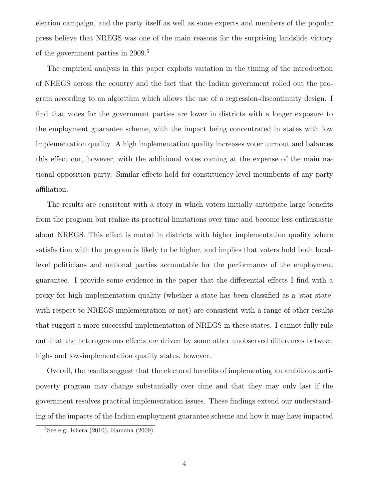election campaign, and the party itself as well as some experts and members of the popular press believe that NREGS was one of the main reasons for the surprising landslide victory of the government parties in 2009.<sup>5</sup>

The empirical analysis in this paper exploits variation in the timing of the introduction of NREGS across the country and the fact that the Indian government rolled out the program according to an algorithm which allows the use of a regression-discontinuity design. I find that votes for the government parties are lower in districts with a longer exposure to the employment guarantee scheme, with the impact being concentrated in states with low implementation quality. A high implementation quality increases voter turnout and balances this effect out, however, with the additional votes coming at the expense of the main national opposition party. Similar effects hold for constituency-level incumbents of any party affiliation.

The results are consistent with a story in which voters initially anticipate large benefits from the program but realize its practical limitations over time and become less enthusiastic about NREGS. This effect is muted in districts with higher implementation quality where satisfaction with the program is likely to be higher, and implies that voters hold both locallevel politicians and national parties accountable for the performance of the employment guarantee. I provide some evidence in the paper that the differential effects I find with a proxy for high implementation quality (whether a state has been classified as a 'star state' with respect to NREGS implementation or not) are consistent with a range of other results that suggest a more successful implementation of NREGS in these states. I cannot fully rule out that the heterogeneous effects are driven by some other unobserved differences between high- and low-implementation quality states, however.

Overall, the results suggest that the electoral benefits of implementing an ambitious antipoverty program may change substantially over time and that they may only last if the government resolves practical implementation issues. These findings extend our understanding of the impacts of the Indian employment guarantee scheme and how it may have impacted

 ${}^{5}$ See e.g. Khera (2010), Ramana (2009).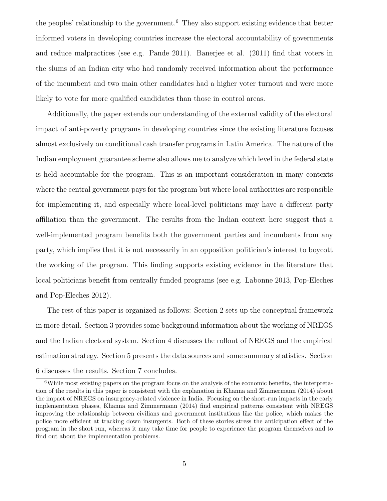the peoples' relationship to the government.<sup>6</sup> They also support existing evidence that better informed voters in developing countries increase the electoral accountability of governments and reduce malpractices (see e.g. Pande 2011). Banerjee et al. (2011) find that voters in the slums of an Indian city who had randomly received information about the performance of the incumbent and two main other candidates had a higher voter turnout and were more likely to vote for more qualified candidates than those in control areas.

Additionally, the paper extends our understanding of the external validity of the electoral impact of anti-poverty programs in developing countries since the existing literature focuses almost exclusively on conditional cash transfer programs in Latin America. The nature of the Indian employment guarantee scheme also allows me to analyze which level in the federal state is held accountable for the program. This is an important consideration in many contexts where the central government pays for the program but where local authorities are responsible for implementing it, and especially where local-level politicians may have a different party affiliation than the government. The results from the Indian context here suggest that a well-implemented program benefits both the government parties and incumbents from any party, which implies that it is not necessarily in an opposition politician's interest to boycott the working of the program. This finding supports existing evidence in the literature that local politicians benefit from centrally funded programs (see e.g. Labonne 2013, Pop-Eleches and Pop-Eleches 2012).

The rest of this paper is organized as follows: Section 2 sets up the conceptual framework in more detail. Section 3 provides some background information about the working of NREGS and the Indian electoral system. Section 4 discusses the rollout of NREGS and the empirical estimation strategy. Section 5 presents the data sources and some summary statistics. Section 6 discusses the results. Section 7 concludes.

<sup>&</sup>lt;sup>6</sup>While most existing papers on the program focus on the analysis of the economic benefits, the interpretation of the results in this paper is consistent with the explanation in Khanna and Zimmermann (2014) about the impact of NREGS on insurgency-related violence in India. Focusing on the short-run impacts in the early implementation phases, Khanna and Zimmermann (2014) find empirical patterns consistent with NREGS improving the relationship between civilians and government institutions like the police, which makes the police more efficient at tracking down insurgents. Both of these stories stress the anticipation effect of the program in the short run, whereas it may take time for people to experience the program themselves and to find out about the implementation problems.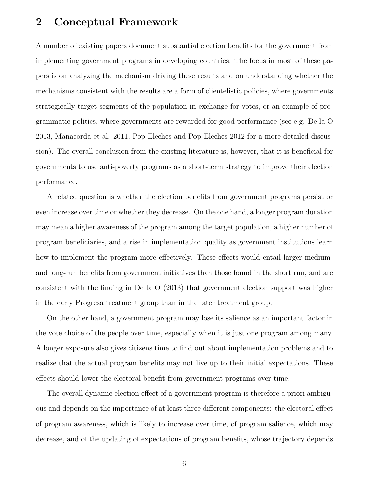### 2 Conceptual Framework

A number of existing papers document substantial election benefits for the government from implementing government programs in developing countries. The focus in most of these papers is on analyzing the mechanism driving these results and on understanding whether the mechanisms consistent with the results are a form of clientelistic policies, where governments strategically target segments of the population in exchange for votes, or an example of programmatic politics, where governments are rewarded for good performance (see e.g. De la O 2013, Manacorda et al. 2011, Pop-Eleches and Pop-Eleches 2012 for a more detailed discussion). The overall conclusion from the existing literature is, however, that it is beneficial for governments to use anti-poverty programs as a short-term strategy to improve their election performance.

A related question is whether the election benefits from government programs persist or even increase over time or whether they decrease. On the one hand, a longer program duration may mean a higher awareness of the program among the target population, a higher number of program beneficiaries, and a rise in implementation quality as government institutions learn how to implement the program more effectively. These effects would entail larger mediumand long-run benefits from government initiatives than those found in the short run, and are consistent with the finding in De la O (2013) that government election support was higher in the early Progresa treatment group than in the later treatment group.

On the other hand, a government program may lose its salience as an important factor in the vote choice of the people over time, especially when it is just one program among many. A longer exposure also gives citizens time to find out about implementation problems and to realize that the actual program benefits may not live up to their initial expectations. These effects should lower the electoral benefit from government programs over time.

The overall dynamic election effect of a government program is therefore a priori ambiguous and depends on the importance of at least three different components: the electoral effect of program awareness, which is likely to increase over time, of program salience, which may decrease, and of the updating of expectations of program benefits, whose trajectory depends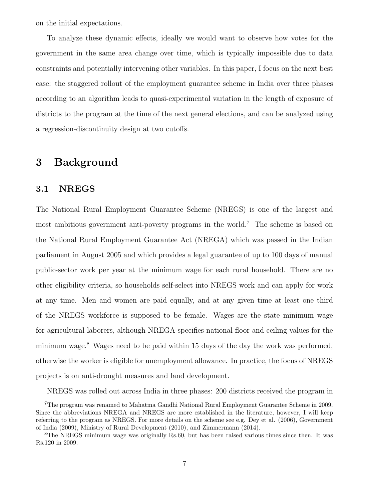on the initial expectations.

To analyze these dynamic effects, ideally we would want to observe how votes for the government in the same area change over time, which is typically impossible due to data constraints and potentially intervening other variables. In this paper, I focus on the next best case: the staggered rollout of the employment guarantee scheme in India over three phases according to an algorithm leads to quasi-experimental variation in the length of exposure of districts to the program at the time of the next general elections, and can be analyzed using a regression-discontinuity design at two cutoffs.

### 3 Background

#### 3.1 NREGS

The National Rural Employment Guarantee Scheme (NREGS) is one of the largest and most ambitious government anti-poverty programs in the world.<sup>7</sup> The scheme is based on the National Rural Employment Guarantee Act (NREGA) which was passed in the Indian parliament in August 2005 and which provides a legal guarantee of up to 100 days of manual public-sector work per year at the minimum wage for each rural household. There are no other eligibility criteria, so households self-select into NREGS work and can apply for work at any time. Men and women are paid equally, and at any given time at least one third of the NREGS workforce is supposed to be female. Wages are the state minimum wage for agricultural laborers, although NREGA specifies national floor and ceiling values for the minimum wage.<sup>8</sup> Wages need to be paid within 15 days of the day the work was performed, otherwise the worker is eligible for unemployment allowance. In practice, the focus of NREGS projects is on anti-drought measures and land development.

NREGS was rolled out across India in three phases: 200 districts received the program in

<sup>7</sup>The program was renamed to Mahatma Gandhi National Rural Employment Guarantee Scheme in 2009. Since the abbreviations NREGA and NREGS are more established in the literature, however, I will keep referring to the program as NREGS. For more details on the scheme see e.g. Dey et al. (2006), Government of India (2009), Ministry of Rural Development (2010), and Zimmermann (2014).

<sup>8</sup>The NREGS minimum wage was originally Rs.60, but has been raised various times since then. It was Rs.120 in 2009.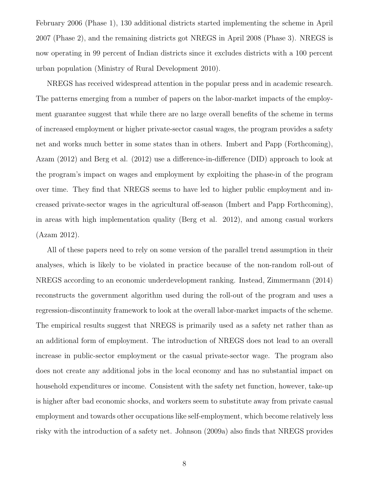February 2006 (Phase 1), 130 additional districts started implementing the scheme in April 2007 (Phase 2), and the remaining districts got NREGS in April 2008 (Phase 3). NREGS is now operating in 99 percent of Indian districts since it excludes districts with a 100 percent urban population (Ministry of Rural Development 2010).

NREGS has received widespread attention in the popular press and in academic research. The patterns emerging from a number of papers on the labor-market impacts of the employment guarantee suggest that while there are no large overall benefits of the scheme in terms of increased employment or higher private-sector casual wages, the program provides a safety net and works much better in some states than in others. Imbert and Papp (Forthcoming), Azam (2012) and Berg et al. (2012) use a difference-in-difference (DID) approach to look at the program's impact on wages and employment by exploiting the phase-in of the program over time. They find that NREGS seems to have led to higher public employment and increased private-sector wages in the agricultural off-season (Imbert and Papp Forthcoming), in areas with high implementation quality (Berg et al. 2012), and among casual workers (Azam 2012).

All of these papers need to rely on some version of the parallel trend assumption in their analyses, which is likely to be violated in practice because of the non-random roll-out of NREGS according to an economic underdevelopment ranking. Instead, Zimmermann (2014) reconstructs the government algorithm used during the roll-out of the program and uses a regression-discontinuity framework to look at the overall labor-market impacts of the scheme. The empirical results suggest that NREGS is primarily used as a safety net rather than as an additional form of employment. The introduction of NREGS does not lead to an overall increase in public-sector employment or the casual private-sector wage. The program also does not create any additional jobs in the local economy and has no substantial impact on household expenditures or income. Consistent with the safety net function, however, take-up is higher after bad economic shocks, and workers seem to substitute away from private casual employment and towards other occupations like self-employment, which become relatively less risky with the introduction of a safety net. Johnson (2009a) also finds that NREGS provides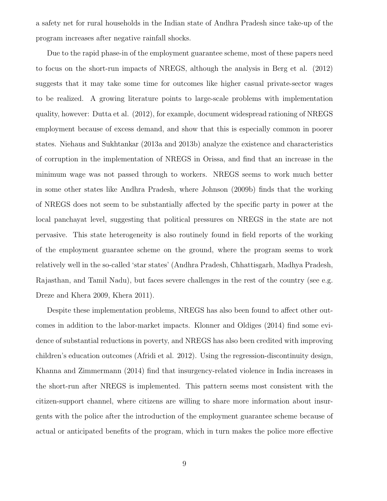a safety net for rural households in the Indian state of Andhra Pradesh since take-up of the program increases after negative rainfall shocks.

Due to the rapid phase-in of the employment guarantee scheme, most of these papers need to focus on the short-run impacts of NREGS, although the analysis in Berg et al. (2012) suggests that it may take some time for outcomes like higher casual private-sector wages to be realized. A growing literature points to large-scale problems with implementation quality, however: Dutta et al. (2012), for example, document widespread rationing of NREGS employment because of excess demand, and show that this is especially common in poorer states. Niehaus and Sukhtankar (2013a and 2013b) analyze the existence and characteristics of corruption in the implementation of NREGS in Orissa, and find that an increase in the minimum wage was not passed through to workers. NREGS seems to work much better in some other states like Andhra Pradesh, where Johnson (2009b) finds that the working of NREGS does not seem to be substantially affected by the specific party in power at the local panchayat level, suggesting that political pressures on NREGS in the state are not pervasive. This state heterogeneity is also routinely found in field reports of the working of the employment guarantee scheme on the ground, where the program seems to work relatively well in the so-called 'star states' (Andhra Pradesh, Chhattisgarh, Madhya Pradesh, Rajasthan, and Tamil Nadu), but faces severe challenges in the rest of the country (see e.g. Dreze and Khera 2009, Khera 2011).

Despite these implementation problems, NREGS has also been found to affect other outcomes in addition to the labor-market impacts. Klonner and Oldiges (2014) find some evidence of substantial reductions in poverty, and NREGS has also been credited with improving children's education outcomes (Afridi et al. 2012). Using the regression-discontinuity design, Khanna and Zimmermann (2014) find that insurgency-related violence in India increases in the short-run after NREGS is implemented. This pattern seems most consistent with the citizen-support channel, where citizens are willing to share more information about insurgents with the police after the introduction of the employment guarantee scheme because of actual or anticipated benefits of the program, which in turn makes the police more effective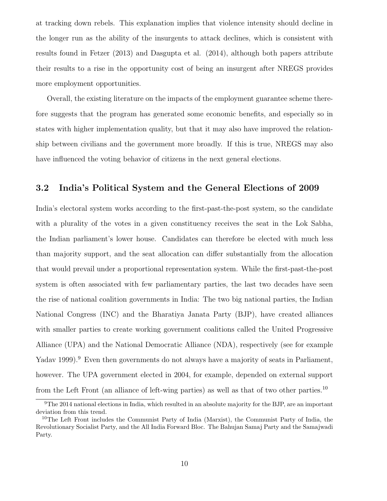at tracking down rebels. This explanation implies that violence intensity should decline in the longer run as the ability of the insurgents to attack declines, which is consistent with results found in Fetzer (2013) and Dasgupta et al. (2014), although both papers attribute their results to a rise in the opportunity cost of being an insurgent after NREGS provides more employment opportunities.

Overall, the existing literature on the impacts of the employment guarantee scheme therefore suggests that the program has generated some economic benefits, and especially so in states with higher implementation quality, but that it may also have improved the relationship between civilians and the government more broadly. If this is true, NREGS may also have influenced the voting behavior of citizens in the next general elections.

#### 3.2 India's Political System and the General Elections of 2009

India's electoral system works according to the first-past-the-post system, so the candidate with a plurality of the votes in a given constituency receives the seat in the Lok Sabha, the Indian parliament's lower house. Candidates can therefore be elected with much less than majority support, and the seat allocation can differ substantially from the allocation that would prevail under a proportional representation system. While the first-past-the-post system is often associated with few parliamentary parties, the last two decades have seen the rise of national coalition governments in India: The two big national parties, the Indian National Congress (INC) and the Bharatiya Janata Party (BJP), have created alliances with smaller parties to create working government coalitions called the United Progressive Alliance (UPA) and the National Democratic Alliance (NDA), respectively (see for example Yadav 1999).<sup>9</sup> Even then governments do not always have a majority of seats in Parliament, however. The UPA government elected in 2004, for example, depended on external support from the Left Front (an alliance of left-wing parties) as well as that of two other parties.<sup>10</sup>

<sup>9</sup>The 2014 national elections in India, which resulted in an absolute majority for the BJP, are an important deviation from this trend.

<sup>&</sup>lt;sup>10</sup>The Left Front includes the Communist Party of India (Marxist), the Communist Party of India, the Revolutionary Socialist Party, and the All India Forward Bloc. The Bahujan Samaj Party and the Samajwadi Party.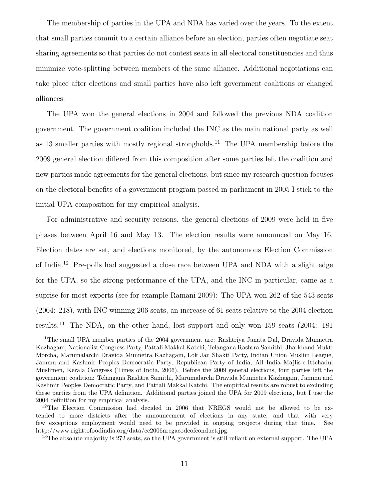The membership of parties in the UPA and NDA has varied over the years. To the extent that small parties commit to a certain alliance before an election, parties often negotiate seat sharing agreements so that parties do not contest seats in all electoral constituencies and thus minimize vote-splitting between members of the same alliance. Additional negotiations can take place after elections and small parties have also left government coalitions or changed alliances.

The UPA won the general elections in 2004 and followed the previous NDA coalition government. The government coalition included the INC as the main national party as well as 13 smaller parties with mostly regional strongholds.<sup>11</sup> The UPA membership before the 2009 general election differed from this composition after some parties left the coalition and new parties made agreements for the general elections, but since my research question focuses on the electoral benefits of a government program passed in parliament in 2005 I stick to the initial UPA composition for my empirical analysis.

For administrative and security reasons, the general elections of 2009 were held in five phases between April 16 and May 13. The election results were announced on May 16. Election dates are set, and elections monitored, by the autonomous Election Commission of India.<sup>12</sup> Pre-polls had suggested a close race between UPA and NDA with a slight edge for the UPA, so the strong performance of the UPA, and the INC in particular, came as a suprise for most experts (see for example Ramani 2009): The UPA won 262 of the 543 seats (2004: 218), with INC winning 206 seats, an increase of 61 seats relative to the 2004 election results.<sup>13</sup> The NDA, on the other hand, lost support and only won 159 seats (2004: 181

<sup>13</sup>The absolute majority is 272 seats, so the UPA government is still reliant on external support. The UPA

<sup>11</sup>The small UPA member parties of the 2004 government are: Rashtriya Janata Dal, Dravida Munnetra Kazhagam, Nationalist Congress Party, Pattali Makkal Katchi, Telangana Rashtra Samithi, Jharkhand Mukti Morcha, Marumalarchi Dravida Munnetra Kazhagam, Lok Jan Shakti Party, Indian Union Muslim League, Jammu and Kashmir Peoples Democratic Party, Republican Party of India, All India Majlis-e-Ittehadul Muslimen, Kerala Congress (Times of India, 2006). Before the 2009 general elections, four parties left the government coalition: Telangana Rashtra Samithi, Marumalarchi Dravida Munnetra Kazhagam, Jammu and Kashmir Peoples Democratic Party, and Pattali Makkal Katchi. The empirical results are robust to excluding these parties from the UPA definition. Additional parties joined the UPA for 2009 elections, but I use the 2004 definition for my empirical analysis.

<sup>&</sup>lt;sup>12</sup>The Election Commission had decided in 2006 that NREGS would not be allowed to be extended to more districts after the announcement of elections in any state, and that with very few exceptions employment would need to be provided in ongoing projects during that time. See http://www.righttofoodindia.org/data/ec2006nregacodeofconduct.jpg.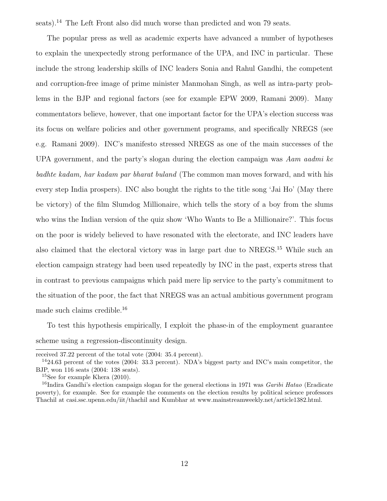seats).<sup>14</sup> The Left Front also did much worse than predicted and won 79 seats.

The popular press as well as academic experts have advanced a number of hypotheses to explain the unexpectedly strong performance of the UPA, and INC in particular. These include the strong leadership skills of INC leaders Sonia and Rahul Gandhi, the competent and corruption-free image of prime minister Manmohan Singh, as well as intra-party problems in the BJP and regional factors (see for example EPW 2009, Ramani 2009). Many commentators believe, however, that one important factor for the UPA's election success was its focus on welfare policies and other government programs, and specifically NREGS (see e.g. Ramani 2009). INC's manifesto stressed NREGS as one of the main successes of the UPA government, and the party's slogan during the election campaign was Aam aadmi ke badhte kadam, har kadam par bharat buland (The common man moves forward, and with his every step India prospers). INC also bought the rights to the title song 'Jai Ho' (May there be victory) of the film Slumdog Millionaire, which tells the story of a boy from the slums who wins the Indian version of the quiz show 'Who Wants to Be a Millionaire?'. This focus on the poor is widely believed to have resonated with the electorate, and INC leaders have also claimed that the electoral victory was in large part due to NREGS.<sup>15</sup> While such an election campaign strategy had been used repeatedly by INC in the past, experts stress that in contrast to previous campaigns which paid mere lip service to the party's commitment to the situation of the poor, the fact that NREGS was an actual ambitious government program made such claims credible.<sup>16</sup>

To test this hypothesis empirically, I exploit the phase-in of the employment guarantee scheme using a regression-discontinuity design.

received 37.22 percent of the total vote (2004: 35.4 percent).

 $1424.63$  percent of the votes (2004: 33.3 percent). NDA's biggest party and INC's main competitor, the BJP, won 116 seats (2004: 138 seats).

<sup>15</sup>See for example Khera (2010).

<sup>&</sup>lt;sup>16</sup>Indira Gandhi's election campaign slogan for the general elections in 1971 was *Garibi Hatao* (Eradicate poverty), for example. See for example the comments on the election results by political science professors Thachil at casi.ssc.upenn.edu/iit/thachil and Kumbhar at www.mainstreamweekly.net/article1382.html.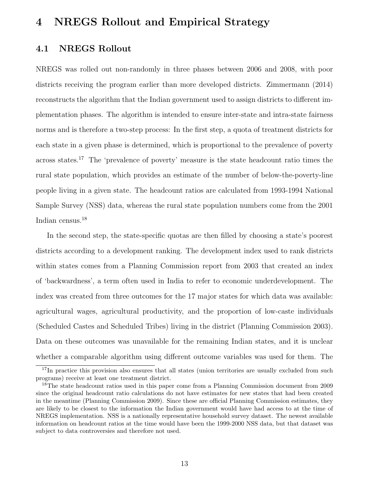### 4 NREGS Rollout and Empirical Strategy

### 4.1 NREGS Rollout

NREGS was rolled out non-randomly in three phases between 2006 and 2008, with poor districts receiving the program earlier than more developed districts. Zimmermann (2014) reconstructs the algorithm that the Indian government used to assign districts to different implementation phases. The algorithm is intended to ensure inter-state and intra-state fairness norms and is therefore a two-step process: In the first step, a quota of treatment districts for each state in a given phase is determined, which is proportional to the prevalence of poverty across states.<sup>17</sup> The 'prevalence of poverty' measure is the state headcount ratio times the rural state population, which provides an estimate of the number of below-the-poverty-line people living in a given state. The headcount ratios are calculated from 1993-1994 National Sample Survey (NSS) data, whereas the rural state population numbers come from the 2001 Indian census.<sup>18</sup>

In the second step, the state-specific quotas are then filled by choosing a state's poorest districts according to a development ranking. The development index used to rank districts within states comes from a Planning Commission report from 2003 that created an index of 'backwardness', a term often used in India to refer to economic underdevelopment. The index was created from three outcomes for the 17 major states for which data was available: agricultural wages, agricultural productivity, and the proportion of low-caste individuals (Scheduled Castes and Scheduled Tribes) living in the district (Planning Commission 2003). Data on these outcomes was unavailable for the remaining Indian states, and it is unclear whether a comparable algorithm using different outcome variables was used for them. The

<sup>&</sup>lt;sup>17</sup>In practice this provision also ensures that all states (union territories are usually excluded from such programs) receive at least one treatment district.

<sup>&</sup>lt;sup>18</sup>The state headcount ratios used in this paper come from a Planning Commission document from 2009 since the original headcount ratio calculations do not have estimates for new states that had been created in the meantime (Planning Commission 2009). Since these are official Planning Commission estimates, they are likely to be closest to the information the Indian government would have had access to at the time of NREGS implementation. NSS is a nationally representative household survey dataset. The newest available information on headcount ratios at the time would have been the 1999-2000 NSS data, but that dataset was subject to data controversies and therefore not used.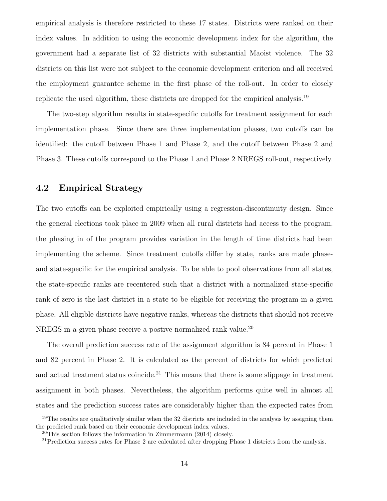empirical analysis is therefore restricted to these 17 states. Districts were ranked on their index values. In addition to using the economic development index for the algorithm, the government had a separate list of 32 districts with substantial Maoist violence. The 32 districts on this list were not subject to the economic development criterion and all received the employment guarantee scheme in the first phase of the roll-out. In order to closely replicate the used algorithm, these districts are dropped for the empirical analysis.<sup>19</sup>

The two-step algorithm results in state-specific cutoffs for treatment assignment for each implementation phase. Since there are three implementation phases, two cutoffs can be identified: the cutoff between Phase 1 and Phase 2, and the cutoff between Phase 2 and Phase 3. These cutoffs correspond to the Phase 1 and Phase 2 NREGS roll-out, respectively.

### 4.2 Empirical Strategy

The two cutoffs can be exploited empirically using a regression-discontinuity design. Since the general elections took place in 2009 when all rural districts had access to the program, the phasing in of the program provides variation in the length of time districts had been implementing the scheme. Since treatment cutoffs differ by state, ranks are made phaseand state-specific for the empirical analysis. To be able to pool observations from all states, the state-specific ranks are recentered such that a district with a normalized state-specific rank of zero is the last district in a state to be eligible for receiving the program in a given phase. All eligible districts have negative ranks, whereas the districts that should not receive NREGS in a given phase receive a postive normalized rank value.<sup>20</sup>

The overall prediction success rate of the assignment algorithm is 84 percent in Phase 1 and 82 percent in Phase 2. It is calculated as the percent of districts for which predicted and actual treatment status coincide.<sup>21</sup> This means that there is some slippage in treatment assignment in both phases. Nevertheless, the algorithm performs quite well in almost all states and the prediction success rates are considerably higher than the expected rates from

<sup>&</sup>lt;sup>19</sup>The results are qualitatively similar when the 32 districts are included in the analysis by assigning them the predicted rank based on their economic development index values.

 $20$ This section follows the information in Zimmermann (2014) closely.

<sup>&</sup>lt;sup>21</sup>Prediction success rates for Phase 2 are calculated after dropping Phase 1 districts from the analysis.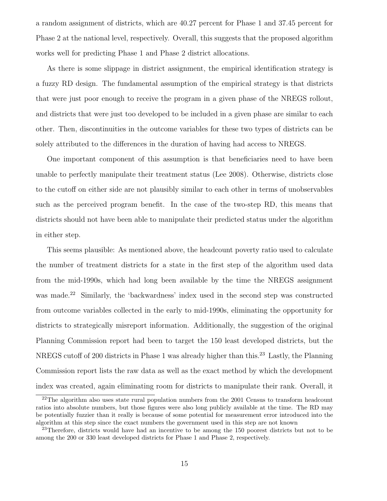a random assignment of districts, which are 40.27 percent for Phase 1 and 37.45 percent for Phase 2 at the national level, respectively. Overall, this suggests that the proposed algorithm works well for predicting Phase 1 and Phase 2 district allocations.

As there is some slippage in district assignment, the empirical identification strategy is a fuzzy RD design. The fundamental assumption of the empirical strategy is that districts that were just poor enough to receive the program in a given phase of the NREGS rollout, and districts that were just too developed to be included in a given phase are similar to each other. Then, discontinuities in the outcome variables for these two types of districts can be solely attributed to the differences in the duration of having had access to NREGS.

One important component of this assumption is that beneficiaries need to have been unable to perfectly manipulate their treatment status (Lee 2008). Otherwise, districts close to the cutoff on either side are not plausibly similar to each other in terms of unobservables such as the perceived program benefit. In the case of the two-step RD, this means that districts should not have been able to manipulate their predicted status under the algorithm in either step.

This seems plausible: As mentioned above, the headcount poverty ratio used to calculate the number of treatment districts for a state in the first step of the algorithm used data from the mid-1990s, which had long been available by the time the NREGS assignment was made.<sup>22</sup> Similarly, the 'backwardness' index used in the second step was constructed from outcome variables collected in the early to mid-1990s, eliminating the opportunity for districts to strategically misreport information. Additionally, the suggestion of the original Planning Commission report had been to target the 150 least developed districts, but the NREGS cutoff of 200 districts in Phase 1 was already higher than this.<sup>23</sup> Lastly, the Planning Commission report lists the raw data as well as the exact method by which the development index was created, again eliminating room for districts to manipulate their rank. Overall, it

 $^{22}$ The algorithm also uses state rural population numbers from the 2001 Census to transform headcount ratios into absolute numbers, but those figures were also long publicly available at the time. The RD may be potentially fuzzier than it really is because of some potential for measurement error introduced into the algorithm at this step since the exact numbers the government used in this step are not known

 $^{23}$ Therefore, districts would have had an incentive to be among the 150 poorest districts but not to be among the 200 or 330 least developed districts for Phase 1 and Phase 2, respectively.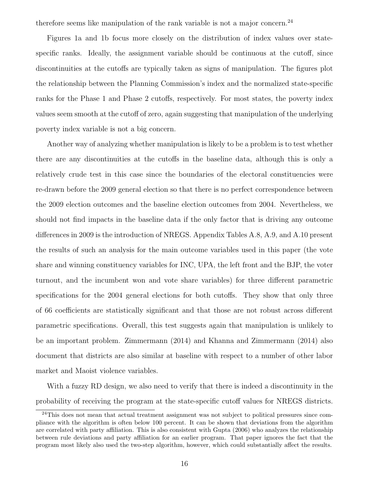therefore seems like manipulation of the rank variable is not a major concern.<sup>24</sup>

Figures 1a and 1b focus more closely on the distribution of index values over statespecific ranks. Ideally, the assignment variable should be continuous at the cutoff, since discontinuities at the cutoffs are typically taken as signs of manipulation. The figures plot the relationship between the Planning Commission's index and the normalized state-specific ranks for the Phase 1 and Phase 2 cutoffs, respectively. For most states, the poverty index values seem smooth at the cutoff of zero, again suggesting that manipulation of the underlying poverty index variable is not a big concern.

Another way of analyzing whether manipulation is likely to be a problem is to test whether there are any discontinuities at the cutoffs in the baseline data, although this is only a relatively crude test in this case since the boundaries of the electoral constituencies were re-drawn before the 2009 general election so that there is no perfect correspondence between the 2009 election outcomes and the baseline election outcomes from 2004. Nevertheless, we should not find impacts in the baseline data if the only factor that is driving any outcome differences in 2009 is the introduction of NREGS. Appendix Tables A.8, A.9, and A.10 present the results of such an analysis for the main outcome variables used in this paper (the vote share and winning constituency variables for INC, UPA, the left front and the BJP, the voter turnout, and the incumbent won and vote share variables) for three different parametric specifications for the 2004 general elections for both cutoffs. They show that only three of 66 coefficients are statistically significant and that those are not robust across different parametric specifications. Overall, this test suggests again that manipulation is unlikely to be an important problem. Zimmermann (2014) and Khanna and Zimmermann (2014) also document that districts are also similar at baseline with respect to a number of other labor market and Maoist violence variables.

With a fuzzy RD design, we also need to verify that there is indeed a discontinuity in the probability of receiving the program at the state-specific cutoff values for NREGS districts.

<sup>&</sup>lt;sup>24</sup>This does not mean that actual treatment assignment was not subject to political pressures since compliance with the algorithm is often below 100 percent. It can be shown that deviations from the algorithm are correlated with party affiliation. This is also consistent with Gupta (2006) who analyzes the relationship between rule deviations and party affiliation for an earlier program. That paper ignores the fact that the program most likely also used the two-step algorithm, however, which could substantially affect the results.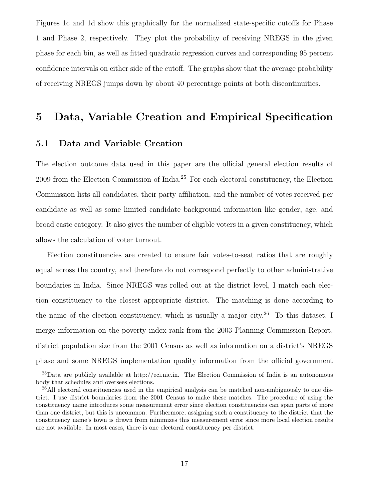Figures 1c and 1d show this graphically for the normalized state-specific cutoffs for Phase 1 and Phase 2, respectively. They plot the probability of receiving NREGS in the given phase for each bin, as well as fitted quadratic regression curves and corresponding 95 percent confidence intervals on either side of the cutoff. The graphs show that the average probability of receiving NREGS jumps down by about 40 percentage points at both discontinuities.

# 5 Data, Variable Creation and Empirical Specification

### 5.1 Data and Variable Creation

The election outcome data used in this paper are the official general election results of 2009 from the Election Commission of India.<sup>25</sup> For each electoral constituency, the Election Commission lists all candidates, their party affiliation, and the number of votes received per candidate as well as some limited candidate background information like gender, age, and broad caste category. It also gives the number of eligible voters in a given constituency, which allows the calculation of voter turnout.

Election constituencies are created to ensure fair votes-to-seat ratios that are roughly equal across the country, and therefore do not correspond perfectly to other administrative boundaries in India. Since NREGS was rolled out at the district level, I match each election constituency to the closest appropriate district. The matching is done according to the name of the election constituency, which is usually a major city.<sup>26</sup> To this dataset, I merge information on the poverty index rank from the 2003 Planning Commission Report, district population size from the 2001 Census as well as information on a district's NREGS phase and some NREGS implementation quality information from the official government

<sup>25</sup>Data are publicly available at http://eci.nic.in. The Election Commission of India is an autonomous body that schedules and oversees elections.

<sup>&</sup>lt;sup>26</sup>All electoral constituencies used in the empirical analysis can be matched non-ambiguously to one district. I use district boundaries from the 2001 Census to make these matches. The procedure of using the constituency name introduces some measurement error since election constituencies can span parts of more than one district, but this is uncommon. Furthermore, assigning such a constituency to the district that the constituency name's town is drawn from minimizes this measurement error since more local election results are not available. In most cases, there is one electoral constituency per district.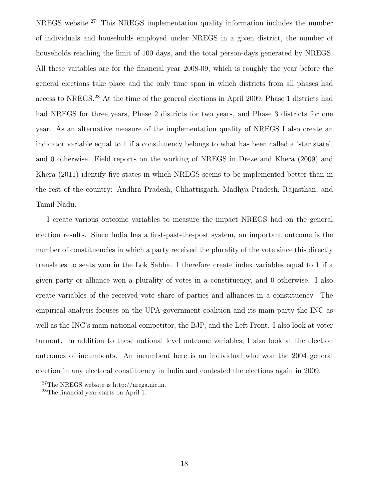NREGS website.<sup>27</sup> This NREGS implementation quality information includes the number of individuals and households employed under NREGS in a given district, the number of households reaching the limit of 100 days, and the total person-days generated by NREGS. All these variables are for the financial year 2008-09, which is roughly the year before the general elections take place and the only time span in which districts from all phases had access to NREGS.<sup>28</sup> At the time of the general elections in April 2009, Phase 1 districts had had NREGS for three years, Phase 2 districts for two years, and Phase 3 districts for one year. As an alternative measure of the implementation quality of NREGS I also create an indicator variable equal to 1 if a constituency belongs to what has been called a 'star state', and 0 otherwise. Field reports on the working of NREGS in Dreze and Khera (2009) and Khera (2011) identify five states in which NREGS seems to be implemented better than in the rest of the country: Andhra Pradesh, Chhattisgarh, Madhya Pradesh, Rajasthan, and Tamil Nadu.

I create various outcome variables to measure the impact NREGS had on the general election results. Since India has a first-past-the-post system, an important outcome is the number of constituencies in which a party received the plurality of the vote since this directly translates to seats won in the Lok Sabha. I therefore create index variables equal to 1 if a given party or alliance won a plurality of votes in a constituency, and 0 otherwise. I also create variables of the received vote share of parties and alliances in a constituency. The empirical analysis focuses on the UPA government coalition and its main party the INC as well as the INC's main national competitor, the BJP, and the Left Front. I also look at voter turnout. In addition to these national level outcome variables, I also look at the election outcomes of incumbents. An incumbent here is an individual who won the 2004 general election in any electoral constituency in India and contested the elections again in 2009.

<sup>27</sup>The NREGS website is http://nrega.nic.in.

<sup>28</sup>The financial year starts on April 1.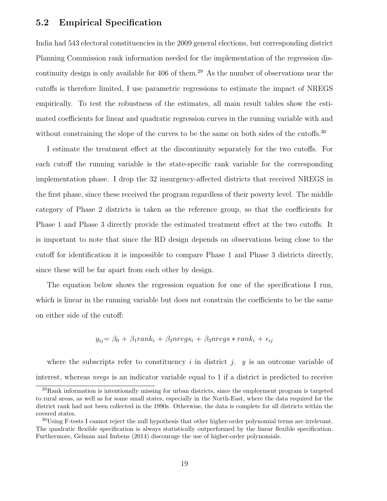### 5.2 Empirical Specification

India had 543 electoral constituencies in the 2009 general elections, but corresponding district Planning Commission rank information needed for the implementation of the regression discontinuity design is only available for 406 of them.<sup>29</sup> As the number of observations near the cutoffs is therefore limited, I use parametric regressions to estimate the impact of NREGS empirically. To test the robustness of the estimates, all main result tables show the estimated coefficients for linear and quadratic regression curves in the running variable with and without constraining the slope of the curves to be the same on both sides of the cutoffs.<sup>30</sup>

I estimate the treatment effect at the discontinuity separately for the two cutoffs. For each cutoff the running variable is the state-specific rank variable for the corresponding implementation phase. I drop the 32 insurgency-affected districts that received NREGS in the first phase, since these received the program regardless of their poverty level. The middle category of Phase 2 districts is taken as the reference group, so that the coefficients for Phase 1 and Phase 3 directly provide the estimated treatment effect at the two cutoffs. It is important to note that since the RD design depends on observations being close to the cutoff for identification it is impossible to compare Phase 1 and Phase 3 districts directly, since these will be far apart from each other by design.

The equation below shows the regression equation for one of the specifications I run, which is linear in the running variable but does not constrain the coefficients to be the same on either side of the cutoff:

$$
y_{ij} = \beta_0 + \beta_1 rank_i + \beta_2 nregs_i + \beta_3 nregs * rank_i + \epsilon_{ij}
$$

where the subscripts refer to constituency i in district j. y is an outcome variable of interest, whereas nregs is an indicator variable equal to 1 if a district is predicted to receive

 $^{29}$ Rank information is intentionally missing for urban districts, since the employment program is targeted to rural areas, as well as for some small states, especially in the North-East, where the data required for the district rank had not been collected in the 1990s. Otherwise, the data is complete for all districts within the covered states.

<sup>30</sup>Using F-tests I cannot reject the null hypothesis that other higher-order polynomial terms are irrelevant. The quadratic flexible specification is always statistically outperformed by the linear flexible specification. Furthermore, Gelman and Imbens (2014) discourage the use of higher-order polynomials.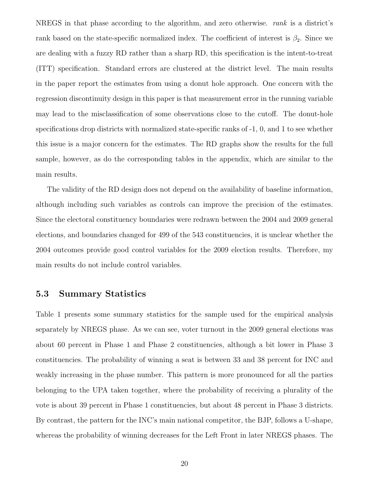NREGS in that phase according to the algorithm, and zero otherwise. *rank* is a district's rank based on the state-specific normalized index. The coefficient of interest is  $\beta_2$ . Since we are dealing with a fuzzy RD rather than a sharp RD, this specification is the intent-to-treat (ITT) specification. Standard errors are clustered at the district level. The main results in the paper report the estimates from using a donut hole approach. One concern with the regression discontinuity design in this paper is that measurement error in the running variable may lead to the misclassification of some observations close to the cutoff. The donut-hole specifications drop districts with normalized state-specific ranks of -1, 0, and 1 to see whether this issue is a major concern for the estimates. The RD graphs show the results for the full sample, however, as do the corresponding tables in the appendix, which are similar to the main results.

The validity of the RD design does not depend on the availability of baseline information, although including such variables as controls can improve the precision of the estimates. Since the electoral constituency boundaries were redrawn between the 2004 and 2009 general elections, and boundaries changed for 499 of the 543 constituencies, it is unclear whether the 2004 outcomes provide good control variables for the 2009 election results. Therefore, my main results do not include control variables.

#### 5.3 Summary Statistics

Table 1 presents some summary statistics for the sample used for the empirical analysis separately by NREGS phase. As we can see, voter turnout in the 2009 general elections was about 60 percent in Phase 1 and Phase 2 constituencies, although a bit lower in Phase 3 constituencies. The probability of winning a seat is between 33 and 38 percent for INC and weakly increasing in the phase number. This pattern is more pronounced for all the parties belonging to the UPA taken together, where the probability of receiving a plurality of the vote is about 39 percent in Phase 1 constituencies, but about 48 percent in Phase 3 districts. By contrast, the pattern for the INC's main national competitor, the BJP, follows a U-shape, whereas the probability of winning decreases for the Left Front in later NREGS phases. The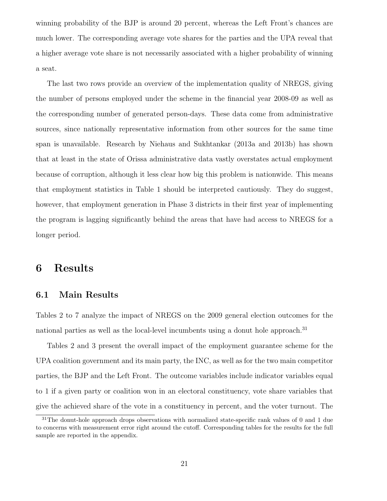winning probability of the BJP is around 20 percent, whereas the Left Front's chances are much lower. The corresponding average vote shares for the parties and the UPA reveal that a higher average vote share is not necessarily associated with a higher probability of winning a seat.

The last two rows provide an overview of the implementation quality of NREGS, giving the number of persons employed under the scheme in the financial year 2008-09 as well as the corresponding number of generated person-days. These data come from administrative sources, since nationally representative information from other sources for the same time span is unavailable. Research by Niehaus and Sukhtankar (2013a and 2013b) has shown that at least in the state of Orissa administrative data vastly overstates actual employment because of corruption, although it less clear how big this problem is nationwide. This means that employment statistics in Table 1 should be interpreted cautiously. They do suggest, however, that employment generation in Phase 3 districts in their first year of implementing the program is lagging significantly behind the areas that have had access to NREGS for a longer period.

# 6 Results

### 6.1 Main Results

Tables 2 to 7 analyze the impact of NREGS on the 2009 general election outcomes for the national parties as well as the local-level incumbents using a donut hole approach.<sup>31</sup>

Tables 2 and 3 present the overall impact of the employment guarantee scheme for the UPA coalition government and its main party, the INC, as well as for the two main competitor parties, the BJP and the Left Front. The outcome variables include indicator variables equal to 1 if a given party or coalition won in an electoral constituency, vote share variables that give the achieved share of the vote in a constituency in percent, and the voter turnout. The

<sup>&</sup>lt;sup>31</sup>The donut-hole approach drops observations with normalized state-specific rank values of 0 and 1 due to concerns with measurement error right around the cutoff. Corresponding tables for the results for the full sample are reported in the appendix.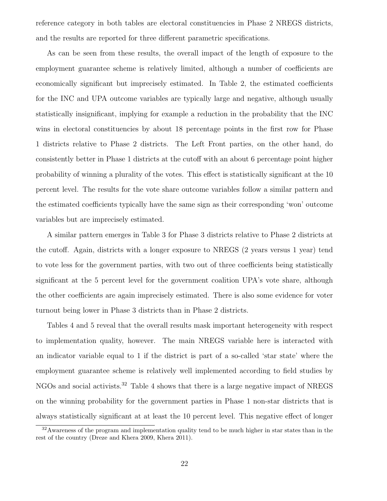reference category in both tables are electoral constituencies in Phase 2 NREGS districts, and the results are reported for three different parametric specifications.

As can be seen from these results, the overall impact of the length of exposure to the employment guarantee scheme is relatively limited, although a number of coefficients are economically significant but imprecisely estimated. In Table 2, the estimated coefficients for the INC and UPA outcome variables are typically large and negative, although usually statistically insignificant, implying for example a reduction in the probability that the INC wins in electoral constituencies by about 18 percentage points in the first row for Phase 1 districts relative to Phase 2 districts. The Left Front parties, on the other hand, do consistently better in Phase 1 districts at the cutoff with an about 6 percentage point higher probability of winning a plurality of the votes. This effect is statistically significant at the 10 percent level. The results for the vote share outcome variables follow a similar pattern and the estimated coefficients typically have the same sign as their corresponding 'won' outcome variables but are imprecisely estimated.

A similar pattern emerges in Table 3 for Phase 3 districts relative to Phase 2 districts at the cutoff. Again, districts with a longer exposure to NREGS (2 years versus 1 year) tend to vote less for the government parties, with two out of three coefficients being statistically significant at the 5 percent level for the government coalition UPA's vote share, although the other coefficients are again imprecisely estimated. There is also some evidence for voter turnout being lower in Phase 3 districts than in Phase 2 districts.

Tables 4 and 5 reveal that the overall results mask important heterogeneity with respect to implementation quality, however. The main NREGS variable here is interacted with an indicator variable equal to 1 if the district is part of a so-called 'star state' where the employment guarantee scheme is relatively well implemented according to field studies by NGOs and social activists.<sup>32</sup> Table 4 shows that there is a large negative impact of NREGS on the winning probability for the government parties in Phase 1 non-star districts that is always statistically significant at at least the 10 percent level. This negative effect of longer

<sup>32</sup>Awareness of the program and implementation quality tend to be much higher in star states than in the rest of the country (Dreze and Khera 2009, Khera 2011).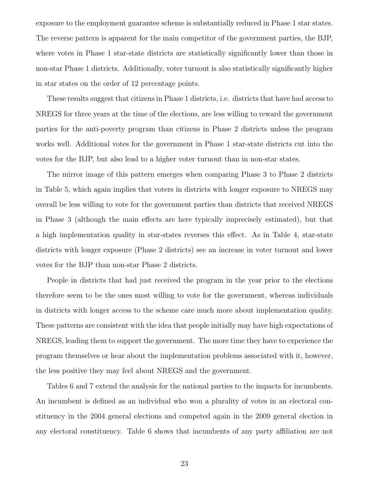exposure to the employment guarantee scheme is substantially reduced in Phase 1 star states. The reverse pattern is apparent for the main competitor of the government parties, the BJP, where votes in Phase 1 star-state districts are statistically significantly lower than those in non-star Phase 1 districts. Additionally, voter turnout is also statistically significantly higher in star states on the order of 12 percentage points.

These results suggest that citizens in Phase 1 districts, i.e. districts that have had access to NREGS for three years at the time of the elections, are less willing to reward the government parties for the anti-poverty program than citizens in Phase 2 districts unless the program works well. Additional votes for the government in Phase 1 star-state districts cut into the votes for the BJP, but also lead to a higher voter turnout than in non-star states.

The mirror image of this pattern emerges when comparing Phase 3 to Phase 2 districts in Table 5, which again implies that voters in districts with longer exposure to NREGS may overall be less willing to vote for the government parties than districts that received NREGS in Phase 3 (although the main effects are here typically imprecisely estimated), but that a high implementation quality in star-states reverses this effect. As in Table 4, star-state districts with longer exposure (Phase 2 districts) see an increase in voter turnout and lower votes for the BJP than non-star Phase 2 districts.

People in districts that had just received the program in the year prior to the elections therefore seem to be the ones most willing to vote for the government, whereas individuals in districts with longer access to the scheme care much more about implementation quality. These patterns are consistent with the idea that people initially may have high expectations of NREGS, leading them to support the government. The more time they have to experience the program themselves or hear about the implementation problems associated with it, however, the less positive they may feel about NREGS and the government.

Tables 6 and 7 extend the analysis for the national parties to the impacts for incumbents. An incumbent is defined as an individual who won a plurality of votes in an electoral constituency in the 2004 general elections and competed again in the 2009 general election in any electoral constituency. Table 6 shows that incumbents of any party affiliation are not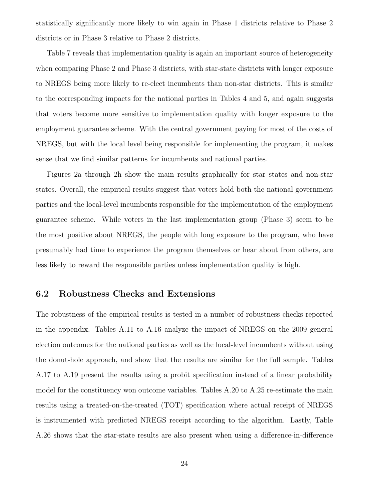statistically significantly more likely to win again in Phase 1 districts relative to Phase 2 districts or in Phase 3 relative to Phase 2 districts.

Table 7 reveals that implementation quality is again an important source of heterogeneity when comparing Phase 2 and Phase 3 districts, with star-state districts with longer exposure to NREGS being more likely to re-elect incumbents than non-star districts. This is similar to the corresponding impacts for the national parties in Tables 4 and 5, and again suggests that voters become more sensitive to implementation quality with longer exposure to the employment guarantee scheme. With the central government paying for most of the costs of NREGS, but with the local level being responsible for implementing the program, it makes sense that we find similar patterns for incumbents and national parties.

Figures 2a through 2h show the main results graphically for star states and non-star states. Overall, the empirical results suggest that voters hold both the national government parties and the local-level incumbents responsible for the implementation of the employment guarantee scheme. While voters in the last implementation group (Phase 3) seem to be the most positive about NREGS, the people with long exposure to the program, who have presumably had time to experience the program themselves or hear about from others, are less likely to reward the responsible parties unless implementation quality is high.

#### 6.2 Robustness Checks and Extensions

The robustness of the empirical results is tested in a number of robustness checks reported in the appendix. Tables A.11 to A.16 analyze the impact of NREGS on the 2009 general election outcomes for the national parties as well as the local-level incumbents without using the donut-hole approach, and show that the results are similar for the full sample. Tables A.17 to A.19 present the results using a probit specification instead of a linear probability model for the constituency won outcome variables. Tables A.20 to A.25 re-estimate the main results using a treated-on-the-treated (TOT) specification where actual receipt of NREGS is instrumented with predicted NREGS receipt according to the algorithm. Lastly, Table A.26 shows that the star-state results are also present when using a difference-in-difference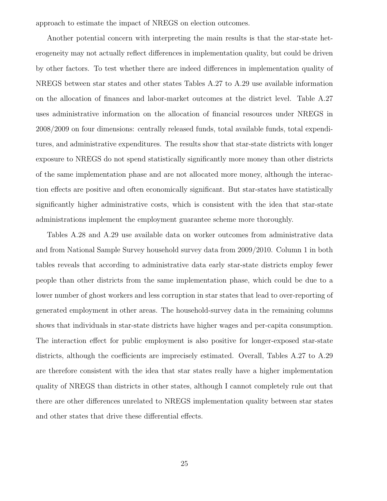approach to estimate the impact of NREGS on election outcomes.

Another potential concern with interpreting the main results is that the star-state heterogeneity may not actually reflect differences in implementation quality, but could be driven by other factors. To test whether there are indeed differences in implementation quality of NREGS between star states and other states Tables A.27 to A.29 use available information on the allocation of finances and labor-market outcomes at the district level. Table A.27 uses administrative information on the allocation of financial resources under NREGS in 2008/2009 on four dimensions: centrally released funds, total available funds, total expenditures, and administrative expenditures. The results show that star-state districts with longer exposure to NREGS do not spend statistically significantly more money than other districts of the same implementation phase and are not allocated more money, although the interaction effects are positive and often economically significant. But star-states have statistically significantly higher administrative costs, which is consistent with the idea that star-state administrations implement the employment guarantee scheme more thoroughly.

Tables A.28 and A.29 use available data on worker outcomes from administrative data and from National Sample Survey household survey data from 2009/2010. Column 1 in both tables reveals that according to administrative data early star-state districts employ fewer people than other districts from the same implementation phase, which could be due to a lower number of ghost workers and less corruption in star states that lead to over-reporting of generated employment in other areas. The household-survey data in the remaining columns shows that individuals in star-state districts have higher wages and per-capita consumption. The interaction effect for public employment is also positive for longer-exposed star-state districts, although the coefficients are imprecisely estimated. Overall, Tables A.27 to A.29 are therefore consistent with the idea that star states really have a higher implementation quality of NREGS than districts in other states, although I cannot completely rule out that there are other differences unrelated to NREGS implementation quality between star states and other states that drive these differential effects.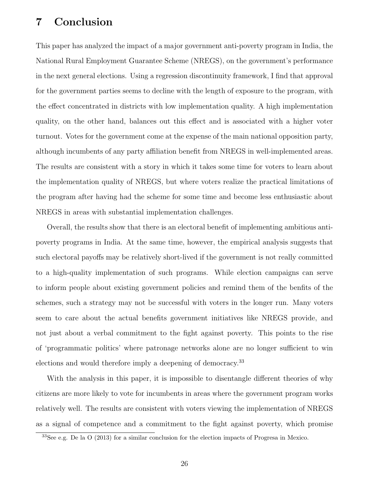# 7 Conclusion

This paper has analyzed the impact of a major government anti-poverty program in India, the National Rural Employment Guarantee Scheme (NREGS), on the government's performance in the next general elections. Using a regression discontinuity framework, I find that approval for the government parties seems to decline with the length of exposure to the program, with the effect concentrated in districts with low implementation quality. A high implementation quality, on the other hand, balances out this effect and is associated with a higher voter turnout. Votes for the government come at the expense of the main national opposition party, although incumbents of any party affiliation benefit from NREGS in well-implemented areas. The results are consistent with a story in which it takes some time for voters to learn about the implementation quality of NREGS, but where voters realize the practical limitations of the program after having had the scheme for some time and become less enthusiastic about NREGS in areas with substantial implementation challenges.

Overall, the results show that there is an electoral benefit of implementing ambitious antipoverty programs in India. At the same time, however, the empirical analysis suggests that such electoral payoffs may be relatively short-lived if the government is not really committed to a high-quality implementation of such programs. While election campaigns can serve to inform people about existing government policies and remind them of the benfits of the schemes, such a strategy may not be successful with voters in the longer run. Many voters seem to care about the actual benefits government initiatives like NREGS provide, and not just about a verbal commitment to the fight against poverty. This points to the rise of 'programmatic politics' where patronage networks alone are no longer sufficient to win elections and would therefore imply a deepening of democracy.<sup>33</sup>

With the analysis in this paper, it is impossible to disentangle different theories of why citizens are more likely to vote for incumbents in areas where the government program works relatively well. The results are consistent with voters viewing the implementation of NREGS as a signal of competence and a commitment to the fight against poverty, which promise

<sup>33</sup>See e.g. De la O (2013) for a similar conclusion for the election impacts of Progresa in Mexico.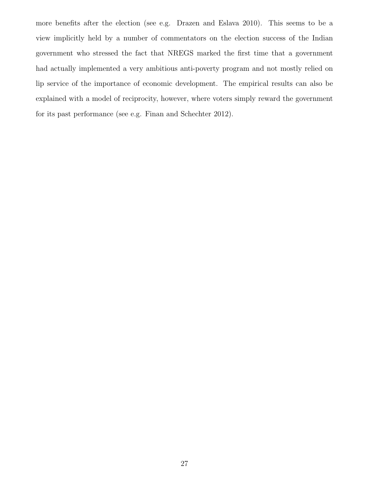more benefits after the election (see e.g. Drazen and Eslava 2010). This seems to be a view implicitly held by a number of commentators on the election success of the Indian government who stressed the fact that NREGS marked the first time that a government had actually implemented a very ambitious anti-poverty program and not mostly relied on lip service of the importance of economic development. The empirical results can also be explained with a model of reciprocity, however, where voters simply reward the government for its past performance (see e.g. Finan and Schechter 2012).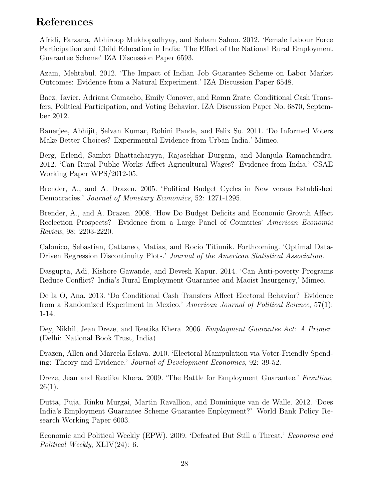# References

Afridi, Farzana, Abhiroop Mukhopadhyay, and Soham Sahoo. 2012. 'Female Labour Force Participation and Child Education in India: The Effect of the National Rural Employment Guarantee Scheme' IZA Discussion Paper 6593.

Azam, Mehtabul. 2012. 'The Impact of Indian Job Guarantee Scheme on Labor Market Outcomes: Evidence from a Natural Experiment.' IZA Discussion Paper 6548.

Baez, Javier, Adriana Camacho, Emily Conover, and Romn Zrate. Conditional Cash Transfers, Political Participation, and Voting Behavior. IZA Discussion Paper No. 6870, September 2012.

Banerjee, Abhijit, Selvan Kumar, Rohini Pande, and Felix Su. 2011. 'Do Informed Voters Make Better Choices? Experimental Evidence from Urban India.' Mimeo.

Berg, Erlend, Sambit Bhattacharyya, Rajasekhar Durgam, and Manjula Ramachandra. 2012. 'Can Rural Public Works Affect Agricultural Wages? Evidence from India.' CSAE Working Paper WPS/2012-05.

Brender, A., and A. Drazen. 2005. 'Political Budget Cycles in New versus Established Democracies.' Journal of Monetary Economics, 52: 1271-1295.

Brender, A., and A. Drazen. 2008. 'How Do Budget Deficits and Economic Growth Affect Reelection Prospects? Evidence from a Large Panel of Countries' American Economic Review, 98: 2203-2220.

Calonico, Sebastian, Cattaneo, Matias, and Rocio Titiunik. Forthcoming. 'Optimal Data-Driven Regression Discontinuity Plots.' Journal of the American Statistical Association.

Dasgupta, Adi, Kishore Gawande, and Devesh Kapur. 2014. 'Can Anti-poverty Programs Reduce Conflict? India's Rural Employment Guarantee and Maoist Insurgency,' Mimeo.

De la O, Ana. 2013. 'Do Conditional Cash Transfers Affect Electoral Behavior? Evidence from a Randomized Experiment in Mexico.' American Journal of Political Science, 57(1): 1-14.

Dey, Nikhil, Jean Dreze, and Reetika Khera. 2006. *Employment Guarantee Act: A Primer.* (Delhi: National Book Trust, India)

Drazen, Allen and Marcela Eslava. 2010. 'Electoral Manipulation via Voter-Friendly Spending: Theory and Evidence.' Journal of Development Economics, 92: 39-52.

Dreze, Jean and Reetika Khera. 2009. 'The Battle for Employment Guarantee.' Frontline,  $26(1)$ .

Dutta, Puja, Rinku Murgai, Martin Ravallion, and Dominique van de Walle. 2012. 'Does India's Employment Guarantee Scheme Guarantee Enployment?' World Bank Policy Research Working Paper 6003.

Economic and Political Weekly (EPW). 2009. 'Defeated But Still a Threat.' Economic and Political Weekly, XLIV(24): 6.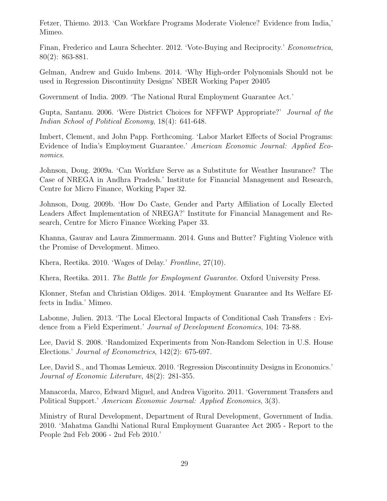Fetzer, Thiemo. 2013. 'Can Workfare Programs Moderate Violence? Evidence from India,' Mimeo.

Finan, Frederico and Laura Schechter. 2012. 'Vote-Buying and Reciprocity.' Econometrica, 80(2): 863-881.

Gelman, Andrew and Guido Imbens. 2014. 'Why High-order Polynomials Should not be used in Regression Discontinuity Designs' NBER Working Paper 20405

Government of India. 2009. 'The National Rural Employment Guarantee Act.'

Gupta, Santanu. 2006. 'Were District Choices for NFFWP Appropriate?' Journal of the Indian School of Political Economy, 18(4): 641-648.

Imbert, Clement, and John Papp. Forthcoming. 'Labor Market Effects of Social Programs: Evidence of India's Employment Guarantee.' American Economic Journal: Applied Economics.

Johnson, Doug. 2009a. 'Can Workfare Serve as a Substitute for Weather Insurance? The Case of NREGA in Andhra Pradesh.' Institute for Financial Management and Research, Centre for Micro Finance, Working Paper 32.

Johnson, Doug. 2009b. 'How Do Caste, Gender and Party Affiliation of Locally Elected Leaders Affect Implementation of NREGA?' Institute for Financial Management and Research, Centre for Micro Finance Working Paper 33.

Khanna, Gaurav and Laura Zimmermann. 2014. Guns and Butter? Fighting Violence with the Promise of Development. Mimeo.

Khera, Reetika. 2010. 'Wages of Delay.' Frontline, 27(10).

Khera, Reetika. 2011. The Battle for Employment Guarantee. Oxford University Press.

Klonner, Stefan and Christian Oldiges. 2014. 'Employment Guarantee and Its Welfare Effects in India.' Mimeo.

Labonne, Julien. 2013. 'The Local Electoral Impacts of Conditional Cash Transfers : Evidence from a Field Experiment.' Journal of Development Economics, 104: 73-88.

Lee, David S. 2008. 'Randomized Experiments from Non-Random Selection in U.S. House Elections.' Journal of Econometrics, 142(2): 675-697.

Lee, David S., and Thomas Lemieux. 2010. 'Regression Discontinuity Designs in Economics.' Journal of Economic Literature, 48(2): 281-355.

Manacorda, Marco, Edward Miguel, and Andrea Vigorito. 2011. 'Government Transfers and Political Support.' American Economic Journal: Applied Economics, 3(3).

Ministry of Rural Development, Department of Rural Development, Government of India. 2010. 'Mahatma Gandhi National Rural Employment Guarantee Act 2005 - Report to the People 2nd Feb 2006 - 2nd Feb 2010.'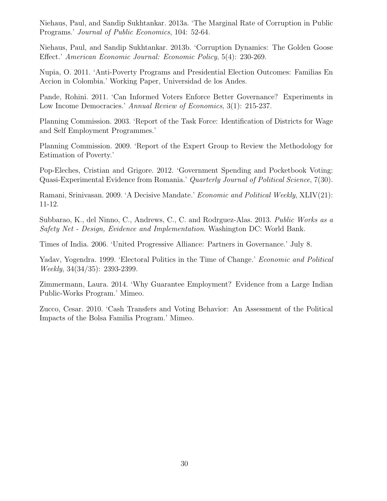Niehaus, Paul, and Sandip Sukhtankar. 2013a. 'The Marginal Rate of Corruption in Public Programs.' Journal of Public Economics, 104: 52-64.

Niehaus, Paul, and Sandip Sukhtankar. 2013b. 'Corruption Dynamics: The Golden Goose Effect.' American Economic Journal: Economic Policy, 5(4): 230-269.

Nupia, O. 2011. 'Anti-Poverty Programs and Presidential Election Outcomes: Familias En Accion in Colombia.' Working Paper, Universidad de los Andes.

Pande, Rohini. 2011. 'Can Informed Voters Enforce Better Governance? Experiments in Low Income Democracies.' Annual Review of Economics, 3(1): 215-237.

Planning Commission. 2003. 'Report of the Task Force: Identification of Districts for Wage and Self Employment Programmes.'

Planning Commission. 2009. 'Report of the Expert Group to Review the Methodology for Estimation of Poverty.'

Pop-Eleches, Cristian and Grigore. 2012. 'Government Spending and Pocketbook Voting: Quasi-Experimental Evidence from Romania.' Quarterly Journal of Political Science, 7(30).

Ramani, Srinivasan. 2009. 'A Decisive Mandate.' Economic and Political Weekly, XLIV(21): 11-12.

Subbarao, K., del Ninno, C., Andrews, C., C. and Rodrguez-Alas. 2013. Public Works as a Safety Net - Design, Evidence and Implementation. Washington DC: World Bank.

Times of India. 2006. 'United Progressive Alliance: Partners in Governance.' July 8.

Yadav, Yogendra. 1999. 'Electoral Politics in the Time of Change.' *Economic and Political* Weekly, 34(34/35): 2393-2399.

Zimmermann, Laura. 2014. 'Why Guarantee Employment? Evidence from a Large Indian Public-Works Program.' Mimeo.

Zucco, Cesar. 2010. 'Cash Transfers and Voting Behavior: An Assessment of the Political Impacts of the Bolsa Familia Program.' Mimeo.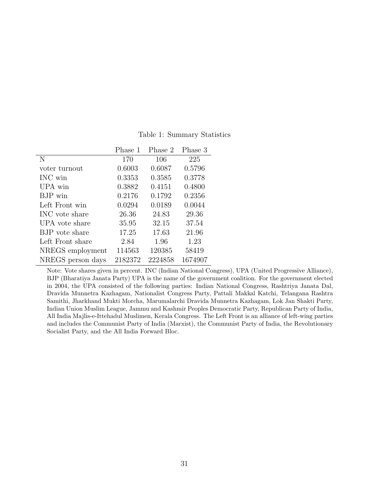|                   | Phase 1 | Phase 2 | Phase 3 |
|-------------------|---------|---------|---------|
| N                 | 170     | 106     | 225     |
| voter turnout     | 0.6003  | 0.6087  | 0.5796  |
| INC win           | 0.3353  | 0.3585  | 0.3778  |
| UPA win           | 0.3882  | 0.4151  | 0.4800  |
| BJP win           | 0.2176  | 0.1792  | 0.2356  |
| Left Front win    | 0.0294  | 0.0189  | 0.0044  |
| INC vote share    | 26.36   | 24.83   | 29.36   |
| UPA vote share    | 35.95   | 32.15   | 37.54   |
| BJP vote share    | 17.25   | 17.63   | 21.96   |
| Left Front share  | 2.84    | 1.96    | 1.23    |
| NREGS employment  | 114563  | 120385  | 58419   |
| NREGS person days | 2182372 | 2224858 | 1674907 |

Table 1: Summary Statistics

Note: Vote shares given in percent. INC (Indian National Congress), UPA (United Progressive Alliance), BJP (Bharatiya Janata Party) UPA is the name of the government coalition. For the government elected in 2004, the UPA consisted of the following parties: Indian National Congress, Rashtriya Janata Dal, Dravida Munnetra Kazhagam, Nationalist Congress Party, Pattali Makkal Katchi, Telangana Rashtra Samithi, Jharkhand Mukti Morcha, Marumalarchi Dravida Munnetra Kazhagam, Lok Jan Shakti Party, Indian Union Muslim League, Jammu and Kashmir Peoples Democratic Party, Republican Party of India, All India Majlis-e-Ittehadul Muslimen, Kerala Congress. The Left Front is an alliance of left-wing parties and includes the Communist Party of India (Marxist), the Communist Party of India, the Revolutionary Socialist Party, and the All India Forward Bloc.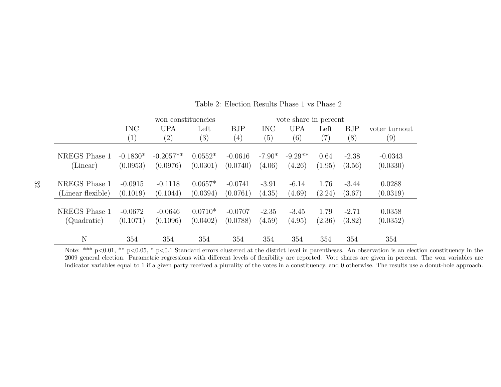|                   |                   | won constituencies |           |            | vote share in percent |            |        |            |               |
|-------------------|-------------------|--------------------|-----------|------------|-----------------------|------------|--------|------------|---------------|
|                   | <b>INC</b>        | <b>UPA</b>         | Left      | <b>BJP</b> | <b>INC</b>            | <b>UPA</b> | Left   | <b>BJP</b> | voter turnout |
|                   | $\left( 1\right)$ | $\left( 2\right)$  | (3)       | (4)        | (5)                   | (6)        | (7)    | (8)        | (9)           |
|                   |                   |                    |           |            |                       |            |        |            |               |
| NREGS Phase 1     | $-0.1830*$        | $-0.2057**$        | $0.0552*$ | $-0.0616$  | $-7.90*$              | $-9.29**$  | 0.64   | $-2.38$    | $-0.0343$     |
| (Linear)          | (0.0953)          | (0.0976)           | (0.0301)  | (0.0740)   | (4.06)                | (4.26)     | (1.95) | (3.56)     | (0.0330)      |
|                   |                   |                    |           |            |                       |            |        |            |               |
| NREGS Phase 1     | $-0.0915$         | $-0.1118$          | $0.0657*$ | $-0.0741$  | $-3.91$               | $-6.14$    | 1.76   | $-3.44$    | 0.0288        |
| (Linear flexible) | (0.1019)          | (0.1044)           | (0.0394)  | (0.0761)   | (4.35)                | (4.69)     | (2.24) | (3.67)     | (0.0319)      |
|                   |                   |                    |           |            |                       |            |        |            |               |
| NREGS Phase 1     | $-0.0672$         | $-0.0646$          | $0.0710*$ | $-0.0707$  | $-2.35$               | $-3.45$    | 1.79   | $-2.71$    | 0.0358        |
| (Quadratic)       | (0.1071)          | (0.1096)           | (0.0402)  | (0.0788)   | (4.59)                | (4.95)     | (2.36) | (3.82)     | (0.0352)      |
|                   |                   |                    |           |            |                       |            |        |            |               |
| N                 | 354               | 354                | 354       | 354        | 354                   | 354        | 354    | 354        | 354           |

#### Table 2: Election Results Phase 1 vs Phase 2

Note: \*\*\*  $p<0.01$ , \*\*  $p<0.05$ , \*  $p<0.1$  Standard errors clustered at the district level in parentheses. An observation is an election constituency in the 2009 general election. Parametric regressions with different levels of flexibility are reported. Vote shares are given in percent. The won variables areindicator variables equal to 1 if <sup>a</sup> given party received <sup>a</sup> <sup>p</sup>lurality of the votes in <sup>a</sup> constituency, and 0 otherwise. The results use <sup>a</sup> donut-hole approach.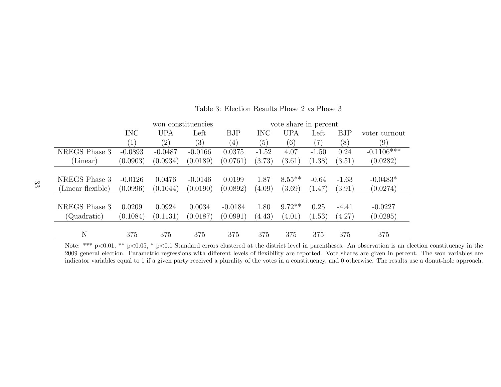|                   |                  | won constituencies |           |                   |            |            | vote share in percent |         |               |  |
|-------------------|------------------|--------------------|-----------|-------------------|------------|------------|-----------------------|---------|---------------|--|
|                   | <b>INC</b>       | <b>UPA</b>         | Left      | BJP               | <b>INC</b> | <b>UPA</b> | Left                  | BJP     | voter turnout |  |
|                   | $\left(1\right)$ | $\left( 2\right)$  | (3)       | $\left( 4\right)$ | (5)        | (6)        | $\left( 7\right)$     | (8)     | (9)           |  |
| NREGS Phase 3     | $-0.0893$        | $-0.0487$          | $-0.0166$ | 0.0375            | $-1.52$    | 4.07       | $-1.50$               | 0.24    | $-0.1106***$  |  |
| (Linear)          | (0.0903)         | (0.0934)           | (0.0189)  | (0.0761)          | (3.73)     | (3.61)     | (1.38)                | (3.51)  | (0.0282)      |  |
|                   |                  |                    |           |                   |            |            |                       |         |               |  |
| NREGS Phase 3     | $-0.0126$        | 0.0476             | $-0.0146$ | 0.0199            | 1.87       | $8.55***$  | $-0.64$               | $-1.63$ | $-0.0483*$    |  |
| (Linear flexible) | (0.0996)         | (0.1044)           | (0.0190)  | (0.0892)          | (4.09)     | (3.69)     | (1.47)                | (3.91)  | (0.0274)      |  |
|                   |                  |                    |           |                   |            |            |                       |         |               |  |
| NREGS Phase 3     | 0.0209           | 0.0924             | 0.0034    | $-0.0184$         | 1.80       | $9.72**$   | 0.25                  | $-4.41$ | $-0.0227$     |  |
| (Quadratic)       | (0.1084)         | (0.1131)           | (0.0187)  | (0.0991)          | (4.43)     | (4.01)     | (1.53)                | (4.27)  | (0.0295)      |  |
|                   |                  |                    |           |                   |            |            |                       |         |               |  |
| N                 | 375              | 375                | 375       | 375               | 375        | 375        | 375                   | 375     | 375           |  |

Table 3: Election Results Phase 2 vs Phase 3

Note: \*\*\*  $p<0.01$ , \*\*  $p<0.05$ , \*  $p<0.1$  Standard errors clustered at the district level in parentheses. An observation is an election constituency in the 2009 general election. Parametric regressions with different levels of flexibility are reported. Vote shares are given in percent. The won variables areindicator variables equal to 1 if <sup>a</sup> given party received <sup>a</sup> <sup>p</sup>lurality of the votes in <sup>a</sup> constituency, and 0 otherwise. The results use <sup>a</sup> donut-hole approach.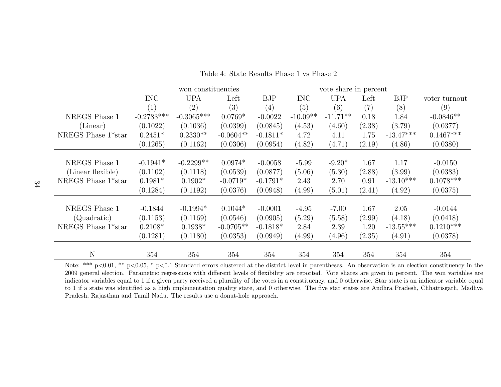|                    |              | won constituencies |             |            | vote share in percent |                        |                   |             |               |
|--------------------|--------------|--------------------|-------------|------------|-----------------------|------------------------|-------------------|-------------|---------------|
|                    | <b>INC</b>   | <b>UPA</b>         | Left        | <b>BJP</b> | <b>INC</b>            | <b>UPA</b>             | Left              | <b>BJP</b>  | voter turnout |
|                    | (1)          | (2)                | (3)         | (4)        | (5)                   | (6)                    | $\left( 7\right)$ | (8)         | (9)           |
| NREGS Phase 1      | $-0.2783***$ | $-0.3065***$       | $0.0769*$   | $-0.0022$  | $-10.09**$            | $-11.\overline{71***}$ | 0.18              | 1.84        | $-0.0846**$   |
| (Linear)           | (0.1022)     | (0.1036)           | (0.0399)    | (0.0845)   | (4.53)                | (4.60)                 | (2.38)            | (3.79)      | (0.0377)      |
| NREGS Phase 1*star | $0.2451*$    | $0.2330**$         | $-0.0604**$ | $-0.1811*$ | 4.72                  | 4.11                   | 1.75              | $-13.47***$ | $0.1467***$   |
|                    | (0.1265)     | (0.1162)           | (0.0306)    | (0.0954)   | (4.82)                | (4.71)                 | (2.19)            | (4.86)      | (0.0380)      |
|                    |              |                    |             |            |                       |                        |                   |             |               |
| NREGS Phase 1      | $-0.1941*$   | $-0.2299**$        | $0.0974*$   | $-0.0058$  | $-5.99$               | $-9.20*$               | 1.67              | 1.17        | $-0.0150$     |
| (Linear flexible)  | (0.1102)     | (0.1118)           | (0.0539)    | (0.0877)   | (5.06)                | (5.30)                 | (2.88)            | (3.99)      | (0.0383)      |
| NREGS Phase 1*star | $0.1981*$    | $0.1902*$          | $-0.0719*$  | $-0.1791*$ | 2.43                  | 2.70                   | 0.91              | $-13.10***$ | $0.1078***$   |
|                    | (0.1284)     | (0.1192)           | (0.0376)    | (0.0948)   | (4.99)                | (5.01)                 | (2.41)            | (4.92)      | (0.0375)      |
|                    |              |                    |             |            |                       |                        |                   |             |               |
| NREGS Phase 1      | $-0.1844$    | $-0.1994*$         | $0.1044*$   | $-0.0001$  | $-4.95$               | $-7.00$                | 1.67              | 2.05        | $-0.0144$     |
| (Quadratic)        | (0.1153)     | (0.1169)           | (0.0546)    | (0.0905)   | (5.29)                | (5.58)                 | (2.99)            | (4.18)      | (0.0418)      |
| NREGS Phase 1*star | $0.2108*$    | $0.1938*$          | $-0.0705**$ | $-0.1818*$ | 2.84                  | 2.39                   | 1.20              | $-13.55***$ | $0.1210***$   |
|                    | (0.1281)     | (0.1180)           | (0.0353)    | (0.0949)   | (4.99)                | (4.96)                 | (2.35)            | (4.91)      | (0.0378)      |
|                    |              |                    |             |            |                       |                        |                   |             |               |
| N                  | 354          | 354                | 354         | 354        | 354                   | 354                    | 354               | 354         | 354           |

Table 4: State Results Phase 1 vs Phase 2

Note: \*\*\*  $p<0.01$ , \*\*  $p<0.05$ , \*  $p<0.1$  Standard errors clustered at the district level in parentheses. An observation is an election constituency in the 2009 general election. Parametric regressions with different levels of flexibility are reported. Vote shares are given in percent. The won variables are indicator variables equal to 1 if <sup>a</sup> given party received <sup>a</sup> <sup>p</sup>lurality of the votes in <sup>a</sup> constituency, and 0 otherwise. Star state is an indicator variable equal to 1 if <sup>a</sup> state was identified as <sup>a</sup> high implementation quality state, and 0 otherwise. The five star states are Andhra Pradesh, Chhattisgarh, MadhyaPradesh, Rajasthan and Tamil Nadu. The results use <sup>a</sup> donut-hole approach.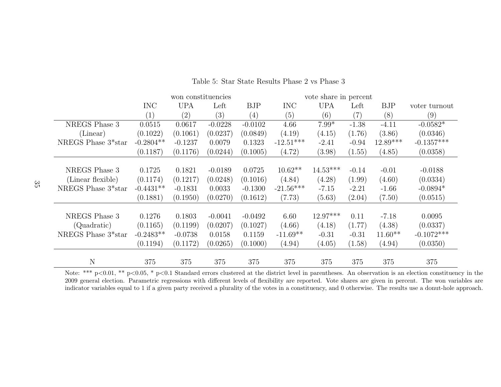|                                 | won constituencies                             |           |           |                   | vote share in percent |            |         |            |               |
|---------------------------------|------------------------------------------------|-----------|-----------|-------------------|-----------------------|------------|---------|------------|---------------|
|                                 | <b>UPA</b><br><b>INC</b><br><b>BJP</b><br>Left |           |           |                   | <b>INC</b>            | <b>UPA</b> | Left    | <b>BJP</b> | voter turnout |
|                                 | (1)                                            | (2)       | (3)       | $\left( 4\right)$ | (5)                   | (6)        | (7)     | (8)        | (9)           |
| NREGS Phase 3                   | 0.0515                                         | 0.0617    | $-0.0228$ | $-0.0102$         | 4.66                  | $7.99*$    | $-1.38$ | $-4.11$    | $-0.0582*$    |
| (Linear)                        | (0.1022)                                       | (0.1061)  | (0.0237)  | (0.0849)          | (4.19)                | (4.15)     | (1.76)  | (3.86)     | (0.0346)      |
| NREGS Phase 3*star              | $-0.2804**$                                    | $-0.1237$ | 0.0079    | 0.1323            | $-12.51***$           | $-2.41$    | $-0.94$ | $12.89***$ | $-0.1357***$  |
|                                 | (0.1187)                                       | (0.1176)  | (0.0244)  | (0.1005)          | (4.72)                | (3.98)     | (1.55)  | (4.85)     | (0.0358)      |
|                                 |                                                |           |           |                   |                       |            |         |            |               |
| NREGS Phase 3                   | 0.1725                                         | 0.1821    | $-0.0189$ | 0.0725            | $10.62**$             | $14.53***$ | $-0.14$ | $-0.01$    | $-0.0188$     |
| (Linear flexible)               | (0.1174)                                       | (0.1217)  | (0.0248)  | (0.1016)          | (4.84)                | (4.28)     | (1.99)  | (4.60)     | (0.0334)      |
| NREGS Phase 3 <sup>*</sup> star | $-0.4431**$                                    | $-0.1831$ | 0.0033    | $-0.1300$         | $-21.56***$           | $-7.15$    | $-2.21$ | $-1.66$    | $-0.0894*$    |
|                                 | (0.1881)                                       | (0.1950)  | (0.0270)  | (0.1612)          | (7.73)                | (5.63)     | (2.04)  | (7.50)     | (0.0515)      |
|                                 |                                                |           |           |                   |                       |            |         |            |               |
| NREGS Phase 3                   | 0.1276                                         | 0.1803    | $-0.0041$ | $-0.0492$         | 6.60                  | 12.97***   | 0.11    | $-7.18$    | 0.0095        |
| (Quadratic)                     | (0.1165)                                       | (0.1199)  | (0.0207)  | (0.1027)          | (4.66)                | (4.18)     | (1.77)  | (4.38)     | (0.0337)      |
| NREGS Phase 3*star              | $-0.2483**$                                    | $-0.0738$ | 0.0158    | 0.1159            | $-11.69**$            | $-0.31$    | $-0.31$ | $11.60**$  | $-0.1072***$  |
|                                 | (0.1194)                                       | (0.1172)  | (0.0265)  | (0.1000)          | (4.94)                | (4.05)     | (1.58)  | (4.94)     | (0.0350)      |
|                                 |                                                |           |           |                   |                       |            |         |            |               |
| $\mathbf N$                     | 375                                            | 375       | 375       | 375               | 375                   | 375        | 375     | 375        | 375           |

### Table 5: Star State Results Phase 2 vs Phase 3

Note: \*\*\* p<0.01, \*\* p<0.05, \* p<0.1 Standard errors clustered at the district level in parentheses. An observation is an election constituency in the 2009 general election. Parametric regressions with different levels of flexibility are reported. Vote shares are given in percent. The won variables areindicator variables equal to 1 if <sup>a</sup> given party received <sup>a</sup> <sup>p</sup>lurality of the votes in <sup>a</sup> constituency, and 0 otherwise. The results use <sup>a</sup> donut-hole approach.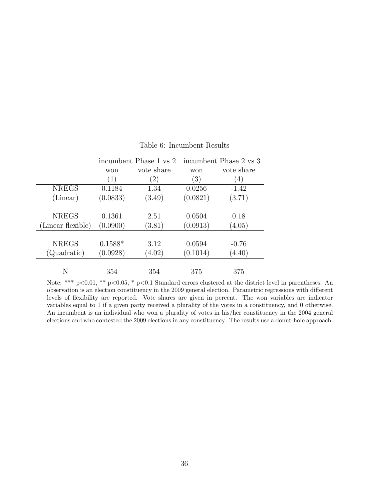|                   | incumbent Phase 1 vs 2   |        | incumbent Phase 2 vs 3 |                  |
|-------------------|--------------------------|--------|------------------------|------------------|
|                   | vote share<br>won<br>won |        | vote share             |                  |
|                   | (1)                      | (2)    | $\left( 3\right)$      | $\left(4\right)$ |
| <b>NREGS</b>      | 0.1184                   | 1.34   | 0.0256                 | $-1.42$          |
| (Linear)          | (0.0833)                 | (3.49) | (0.0821)               | (3.71)           |
|                   |                          |        |                        |                  |
| <b>NREGS</b>      | 0.1361                   | 2.51   | 0.0504                 | 0.18             |
| (Linear flexible) | (0.0900)                 | (3.81) | (0.0913)               | (4.05)           |
|                   |                          |        |                        |                  |
| <b>NREGS</b>      | $0.1588*$                | 3.12   | 0.0594                 | $-0.76$          |
| (Quadratic)       | (0.0928)                 | (4.02) | (0.1014)               | (4.40)           |
|                   |                          |        |                        |                  |
| N                 | 354                      | 354    | 375                    | 375              |

#### Table 6: Incumbent Results

Note: \*\*\* p<0.01, \*\* p<0.05, \* p<0.1 Standard errors clustered at the district level in parentheses. An observation is an election constituency in the 2009 general election. Parametric regressions with different levels of flexibility are reported. Vote shares are given in percent. The won variables are indicator variables equal to 1 if a given party received a plurality of the votes in a constituency, and 0 otherwise. An incumbent is an individual who won a plurality of votes in his/her constituency in the 2004 general elections and who contested the 2009 elections in any constituency. The results use a donut-hole approach.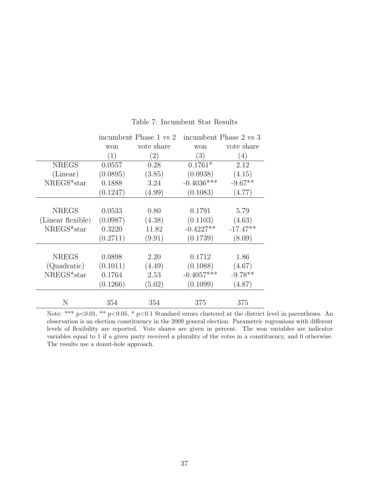|                   |          | incumbent Phase 1 vs 2 | incumbent Phase 2 vs 3 |            |
|-------------------|----------|------------------------|------------------------|------------|
|                   | won      | vote share             | won                    | vote share |
|                   | (1)      | (2)                    | (3)                    | (4)        |
| <b>NREGS</b>      | 0.0557   | 0.28                   | $0.1761*$              | 2.12       |
| (Linear)          | (0.0895) | (3.85)                 | (0.0938)               | (4.15)     |
| NREGS*star        | 0.1888   | 3.24                   | $-0.4036***$           | $-9.67**$  |
|                   | (0.1247) | (4.99)                 | (0.1083)               | (4.77)     |
|                   |          |                        |                        |            |
| <b>NREGS</b>      | 0.0533   | 0.80                   | 0.1791                 | 5.79       |
| (Linear flexible) | (0.0987) | (4.38)                 | (0.1103)               | (4.63)     |
| NREGS*star        | 0.3220   | 11.82                  | $-0.4227**$            | $-17.47**$ |
|                   | (0.2711) | (9.91)                 | (0.1739)               | (8.09)     |
|                   |          |                        |                        |            |
| <b>NREGS</b>      | 0.0898   | 2.20                   | 0.1712                 | 1.86       |
| (Quadratic)       | (0.1011) | (4.49)                 | (0.1088)               | (4.67)     |
| NREGS*star        | 0.1764   | 2.53                   | $-0.4057***$           | $-9.78**$  |
|                   | (0.1266) | (5.02)                 | (0.1099)               | (4.87)     |
|                   |          |                        |                        |            |
| N                 | 354      | 354                    | 375                    | 375        |

#### Table 7: Incumbent Star Results

Note: \*\*\* p<0.01, \*\* p<0.05, \* p<0.1 Standard errors clustered at the district level in parentheses. An observation is an election constituency in the 2009 general election. Parametric regressions with different levels of flexibility are reported. Vote shares are given in percent. The won variables are indicator variables equal to 1 if a given party received a plurality of the votes in a constituency, and 0 otherwise. The results use a donut-hole approach.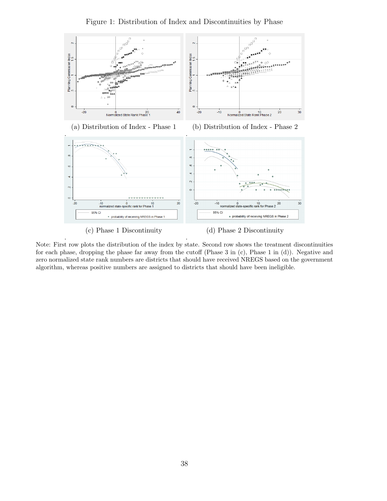

Figure 1: Distribution of Index and Discontinuities by Phase

(c) Phase 1 Discontinuity

.

(d) Phase 2 Discontinuity

Note: First row plots the distribution of the index by state. Second row shows the treatment discontinuities for each phase, dropping the phase far away from the cutoff (Phase 3 in (c), Phase 1 in (d)). Negative and zero normalized state rank numbers are districts that should have received NREGS based on the government algorithm, whereas positive numbers are assigned to districts that should have been ineligible.

.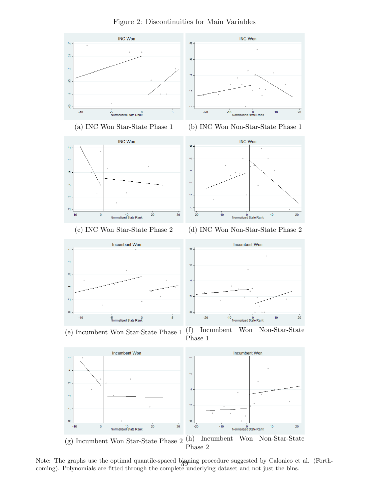

Figure 2: Discontinuities for Main Variables

Note: The graphs use the optimal quantile-spaced bigning procedure suggested by Calonico et al. (Forthcoming). Polynomials are fitted through the complete underlying dataset and not just the bins.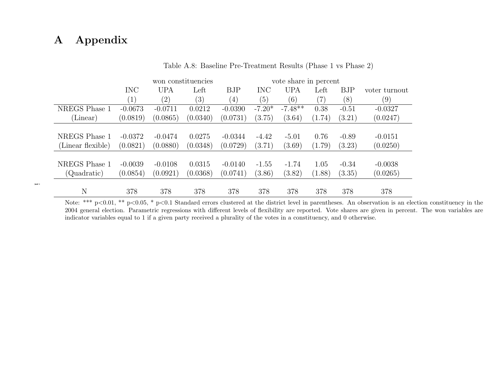# A Appendix

 $\overline{\phantom{m}}$  .

|                   |                  |                   |                   | vote share in percent |            |            |        |         |               |
|-------------------|------------------|-------------------|-------------------|-----------------------|------------|------------|--------|---------|---------------|
|                   | <b>INC</b>       | <b>UPA</b>        | Left              | <b>BJP</b>            | <b>INC</b> | <b>UPA</b> | Left   | BJP     | voter turnout |
|                   | $\left(1\right)$ | $\left( 2\right)$ | $\left( 3\right)$ | (4)                   | (5)        | (6)        | (7)    | (8)     | (9)           |
| NREGS Phase 1     | $-0.0673$        | $-0.0711$         | 0.0212            | $-0.0390$             | $-7.20*$   | $-7.48**$  | 0.38   | $-0.51$ | $-0.0327$     |
| (Linear)          | (0.0819)         | (0.0865)          | (0.0340)          | (0.0731)              | (3.75)     | (3.64)     | (1.74) | (3.21)  | (0.0247)      |
|                   |                  |                   |                   |                       |            |            |        |         |               |
| NREGS Phase 1     | $-0.0372$        | $-0.0474$         | 0.0275            | $-0.0344$             | $-4.42$    | $-5.01$    | 0.76   | $-0.89$ | $-0.0151$     |
| (Linear flexible) | (0.0821)         | (0.0880)          | (0.0348)          | (0.0729)              | (3.71)     | (3.69)     | (1.79) | (3.23)  | (0.0250)      |
|                   |                  |                   |                   |                       |            |            |        |         |               |
| NREGS Phase 1     | $-0.0039$        | $-0.0108$         | 0.0315            | $-0.0140$             | $-1.55$    | $-1.74$    | 1.05   | $-0.34$ | $-0.0038$     |
| (Quadratic)       | (0.0854)         | (0.0921)          | (0.0368)          | (0.0741)              | (3.86)     | (3.82)     | (1.88) | (3.35)  | (0.0265)      |
|                   |                  |                   |                   |                       |            |            |        |         |               |
| N                 | 378              | 378               | 378               | 378                   | 378        | 378        | 378    | 378     | 378           |

Table A.8: Baseline Pre-Treatment Results (Phase <sup>1</sup> vs Phase 2)

Note: \*\*\* p<0.01, \*\* p<0.05, \* p<0.1 Standard errors clustered at the district level in parentheses. An observation is an election constituency in the 2004 general election. Parametric regressions with different levels of flexibility are reported. Vote shares are given in percent. The won variables areindicator variables equal to 1 if <sup>a</sup> given party received <sup>a</sup> <sup>p</sup>lurality of the votes in <sup>a</sup> constituency, and 0 otherwise.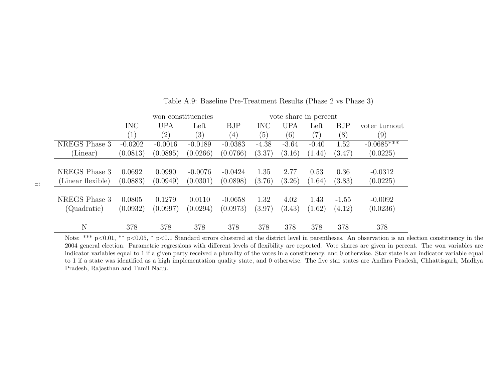|                   |                   |            | won constituencies |                   | vote share in percent |            |         |         |               |
|-------------------|-------------------|------------|--------------------|-------------------|-----------------------|------------|---------|---------|---------------|
|                   | <b>INC</b>        | <b>UPA</b> | Left               | <b>BJP</b>        | <b>INC</b>            | <b>UPA</b> | Left    | BJP     | voter turnout |
|                   | $\left( 1\right)$ | (2)        | (3)                | $\left( 4\right)$ | (5)                   | (6)        | (7)     | (8)     | (9)           |
| NREGS Phase 3     | $-0.0202$         | $-0.0016$  | $-0.0189$          | $-0.0383$         | $-4.38$               | $-3.64$    | $-0.40$ | 1.52    | $-0.0685***$  |
| (Linear)          | (0.0813)          | (0.0895)   | (0.0266)           | (0.0766)          | (3.37)                | (3.16)     | (1.44)  | (3.47)  | (0.0225)      |
|                   |                   |            |                    |                   |                       |            |         |         |               |
| NREGS Phase 3     | 0.0692            | 0.0990     | $-0.0076$          | $-0.0424$         | 1.35                  | 2.77       | 0.53    | 0.36    | $-0.0312$     |
| (Linear flexible) | (0.0883)          | (0.0949)   | (0.0301)           | (0.0898)          | (3.76)                | (3.26)     | (1.64)  | (3.83)  | (0.0225)      |
|                   |                   |            |                    |                   |                       |            |         |         |               |
| NREGS Phase 3     | 0.0805            | 0.1279     | 0.0110             | $-0.0658$         | 1.32                  | 4.02       | 1.43    | $-1.55$ | $-0.0092$     |
| (Quadratic)       | (0.0932)          | (0.0997)   | (0.0294)           | (0.0973)          | (3.97)                | (3.43)     | (1.62)  | (4.12)  | (0.0236)      |
|                   |                   |            |                    |                   |                       |            |         |         |               |
| N                 | 378               | 378        | 378                | 378               | 378                   | 378        | 378     | 378     | 378           |

Table A.9: Baseline Pre-Treatment Results (Phase <sup>2</sup> vs Phase 3)

Note: \*\*\*  $p<0.01$ , \*\*  $p<0.05$ , \*  $p<0.1$  Standard errors clustered at the district level in parentheses. An observation is an election constituency in the 2004 general election. Parametric regressions with different levels of flexibility are reported. Vote shares are given in percent. The won variables are indicator variables equal to 1 if <sup>a</sup> given party received <sup>a</sup> <sup>p</sup>lurality of the votes in <sup>a</sup> constituency, and 0 otherwise. Star state is an indicator variable equal to 1 if <sup>a</sup> state was identified as <sup>a</sup> high implementation quality state, and 0 otherwise. The five star states are Andhra Pradesh, Chhattisgarh, MadhyaPradesh, Rajasthan and Tamil Nadu.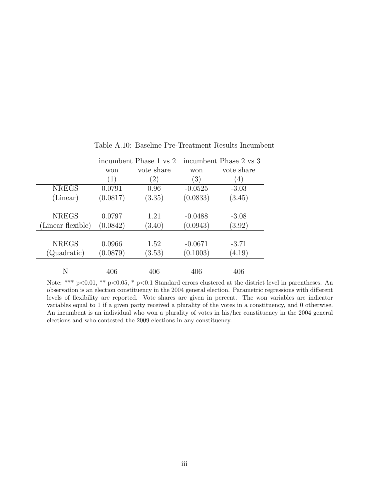|                   |                          | incumbent Phase 1 vs 2 |           | incumbent Phase 2 vs 3 |
|-------------------|--------------------------|------------------------|-----------|------------------------|
|                   | vote share<br>won<br>won |                        |           | vote share             |
|                   | (1)                      | (2)                    | (3)       | $\left( 4\right)$      |
| <b>NREGS</b>      | 0.0791                   | 0.96                   | $-0.0525$ | $-3.03$                |
| (Linear)          | (0.0817)                 | (3.35)                 | (0.0833)  | (3.45)                 |
|                   |                          |                        |           |                        |
| <b>NREGS</b>      | 0.0797                   | 1.21                   | $-0.0488$ | $-3.08$                |
| (Linear flexible) | (0.0842)                 | (3.40)                 | (0.0943)  | (3.92)                 |
|                   |                          |                        |           |                        |
| <b>NREGS</b>      | 0.0966                   | 1.52                   | $-0.0671$ | $-3.71$                |
| (Quadratic)       | (0.0879)                 | (3.53)                 | (0.1003)  | (4.19)                 |
|                   |                          |                        |           |                        |
| N                 | 406                      | 406                    | 406       | 406                    |

Table A.10: Baseline Pre-Treatment Results Incumbent

Note: \*\*\* p<0.01, \*\* p<0.05, \* p<0.1 Standard errors clustered at the district level in parentheses. An observation is an election constituency in the 2004 general election. Parametric regressions with different levels of flexibility are reported. Vote shares are given in percent. The won variables are indicator variables equal to 1 if a given party received a plurality of the votes in a constituency, and 0 otherwise. An incumbent is an individual who won a plurality of votes in his/her constituency in the 2004 general elections and who contested the 2009 elections in any constituency.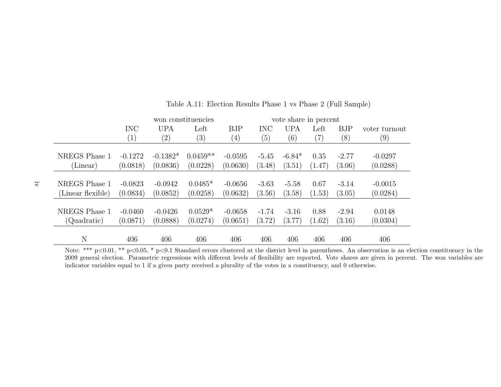|                   |                   |            | won constituencies |                  | vote share in percent |            |        |            |               |
|-------------------|-------------------|------------|--------------------|------------------|-----------------------|------------|--------|------------|---------------|
|                   | <b>INC</b>        | <b>UPA</b> | Left               | <b>BJP</b>       | <b>INC</b>            | <b>UPA</b> | Left   | <b>BJP</b> | voter turnout |
|                   | $\left( 1\right)$ | (2)        | $\left( 3\right)$  | $\left(4\right)$ | (5)                   | (6)        | (7)    | (8)        | (9)           |
|                   |                   |            |                    |                  |                       |            |        |            |               |
| NREGS Phase 1     | $-0.1272$         | $-0.1382*$ | $0.0459**$         | $-0.0595$        | $-5.45$               | $-6.84*$   | 0.35   | $-2.77$    | $-0.0297$     |
| (Linear)          | (0.0818)          | (0.0836)   | (0.0228)           | (0.0630)         | (3.48)                | (3.51)     | (1.47) | (3.06)     | (0.0288)      |
|                   |                   |            |                    |                  |                       |            |        |            |               |
| NREGS Phase 1     | $-0.0823$         | $-0.0942$  | $0.0485*$          | $-0.0656$        | $-3.63$               | $-5.58$    | 0.67   | $-3.14$    | $-0.0015$     |
| (Linear flexible) | (0.0834)          | (0.0852)   | (0.0258)           | (0.0632)         | (3.56)                | (3.58)     | (1.53) | (3.05)     | (0.0284)      |
|                   |                   |            |                    |                  |                       |            |        |            |               |
| NREGS Phase 1     | $-0.0460$         | $-0.0426$  | $0.0529*$          | $-0.0658$        | $-1.74$               | $-3.16$    | 0.88   | $-2.94$    | 0.0148        |
| (Quadratic)       | (0.0871)          | (0.0888)   | (0.0274)           | (0.0651)         | (3.72)                | (3.77)     | (1.62) | (3.16)     | (0.0304)      |
|                   |                   |            |                    |                  |                       |            |        |            |               |
| N                 | 406               | 406        | 406                | 406              | 406                   | 406        | 406    | 406        | 406           |

Table A.11: Election Results Phase <sup>1</sup> vs Phase <sup>2</sup> (Full Sample)

Note: \*\*\*  $p<0.01$ , \*\*  $p<0.05$ , \*  $p<0.1$  Standard errors clustered at the district level in parentheses. An observation is an election constituency in the 2009 general election. Parametric regressions with different levels of flexibility are reported. Vote shares are given in percent. The won variables areindicator variables equal to 1 if <sup>a</sup> given party received <sup>a</sup> <sup>p</sup>lurality of the votes in <sup>a</sup> constituency, and 0 otherwise.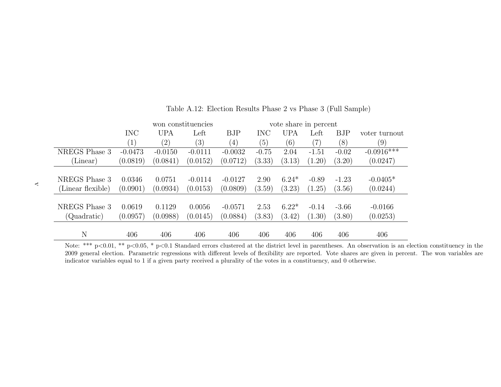|                   |                   |                   | won constituencies |                   |            | vote share in percent |                   |            |               |
|-------------------|-------------------|-------------------|--------------------|-------------------|------------|-----------------------|-------------------|------------|---------------|
|                   | <b>INC</b>        | <b>UPA</b>        | Left               | <b>BJP</b>        | <b>INC</b> | <b>UPA</b>            | Left              | <b>BJP</b> | voter turnout |
|                   | $\left( 1\right)$ | $\left( 2\right)$ | (3)                | $\left( 4\right)$ | (5)        | (6)                   | $\left( 7\right)$ | (8)        | (9)           |
| NREGS Phase 3     | $-0.0473$         | $-0.0150$         | $-0.0111$          | $-0.0032$         | $-0.75$    | 2.04                  | $-1.51$           | $-0.02$    | $-0.0916***$  |
| (Linear)          | (0.0819)          | (0.0841)          | (0.0152)           | (0.0712)          | (3.33)     | (3.13)                | (1.20)            | (3.20)     | (0.0247)      |
|                   |                   |                   |                    |                   |            |                       |                   |            |               |
| NREGS Phase 3     | 0.0346            | 0.0751            | $-0.0114$          | $-0.0127$         | 2.90       | $6.24*$               | $-0.89$           | $-1.23$    | $-0.0405*$    |
| (Linear flexible) | (0.0901)          | (0.0934)          | (0.0153)           | (0.0809)          | (3.59)     | (3.23)                | (1.25)            | (3.56)     | (0.0244)      |
|                   |                   |                   |                    |                   |            |                       |                   |            |               |
| NREGS Phase 3     | 0.0619            | 0.1129            | 0.0056             | $-0.0571$         | 2.53       | $6.22*$               | $-0.14$           | $-3.66$    | $-0.0166$     |
| (Quadratic)       | (0.0957)          | (0.0988)          | (0.0145)           | (0.0884)          | (3.83)     | (3.42)                | (1.30)            | (3.80)     | (0.0253)      |
|                   |                   |                   |                    |                   |            |                       |                   |            |               |
| N                 | 406               | 406               | 406                | 406               | 406        | 406                   | 406               | 406        | 406           |

Table A.12: Election Results Phase <sup>2</sup> vs Phase <sup>3</sup> (Full Sample)

N 406 406 406 406 406 406 406 406 406 Note: \*\*\* <sup>p</sup><sup>&</sup>lt;0.01, \*\* <sup>p</sup><sup>&</sup>lt;0.05, \* <sup>p</sup><sup>&</sup>lt;0.1 Standard errors clustered at the district level in parentheses. An observation is an election constituency in the 2009 general election. Parametric regressions with different levels of flexibility are reported. Vote shares are given in percent. The won variables areindicator variables equal to 1 if <sup>a</sup> given party received <sup>a</sup> <sup>p</sup>lurality of the votes in <sup>a</sup> constituency, and 0 otherwise.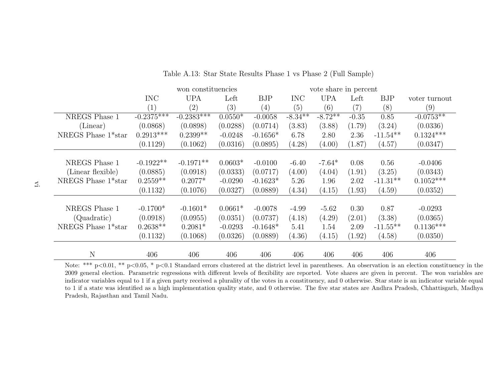|                    |                   | won constituencies |           |            |            |            | vote share in percent |             |               |  |  |
|--------------------|-------------------|--------------------|-----------|------------|------------|------------|-----------------------|-------------|---------------|--|--|
|                    | <b>INC</b>        | <b>UPA</b>         | Left      | <b>BJP</b> | <b>INC</b> | <b>UPA</b> | Left                  | BJP         | voter turnout |  |  |
|                    | $\left( 1\right)$ | (2)                | (3)       | (4)        | (5)        | (6)        | $\left( 7\right)$     | (8)         | (9)           |  |  |
| NREGS Phase 1      | $-0.2375***$      | $-0.2383***$       | $0.0550*$ | $-0.0058$  | $-8.34***$ | $-8.72**$  | $-0.35$               | 0.85        | $-0.0753**$   |  |  |
| (Linear)           | (0.0868)          | (0.0898)           | (0.0288)  | (0.0714)   | (3.83)     | (3.88)     | (1.79)                | (3.24)      | (0.0336)      |  |  |
| NREGS Phase 1*star | $0.2913***$       | $0.2399**$         | $-0.0248$ | $-0.1656*$ | 6.78       | 2.80       | 2.36                  | $-11.54**$  | $0.1324***$   |  |  |
|                    | (0.1129)          | (0.1062)           | (0.0316)  | (0.0895)   | (4.28)     | (4.00)     | (1.87)                | (4.57)      | (0.0347)      |  |  |
|                    |                   |                    |           |            |            |            |                       |             |               |  |  |
| NREGS Phase 1      | $-0.1922**$       | $-0.1971**$        | $0.0603*$ | $-0.0100$  | $-6.40$    | $-7.64*$   | 0.08                  | 0.56        | $-0.0406$     |  |  |
| (Linear flexible)  | (0.0885)          | (0.0918)           | (0.0333)  | (0.0717)   | (4.00)     | (4.04)     | (1.91)                | (3.25)      | (0.0343)      |  |  |
| NREGS Phase 1*star | $0.2559**$        | $0.2077*$          | $-0.0290$ | $-0.1623*$ | 5.26       | 1.96       | 2.02                  | $-11.31**$  | $0.1052***$   |  |  |
|                    | (0.1132)          | (0.1076)           | (0.0327)  | (0.0889)   | (4.34)     | (4.15)     | (1.93)                | (4.59)      | (0.0352)      |  |  |
|                    |                   |                    |           |            |            |            |                       |             |               |  |  |
| NREGS Phase 1      | $-0.1700*$        | $-0.1601*$         | $0.0661*$ | $-0.0078$  | $-4.99$    | $-5.62$    | 0.30                  | 0.87        | $-0.0293$     |  |  |
| (Quadratic)        | (0.0918)          | (0.0955)           | (0.0351)  | (0.0737)   | (4.18)     | (4.29)     | (2.01)                | (3.38)      | (0.0365)      |  |  |
| NREGS Phase 1*star | $0.2638**$        | $0.2081*$          | $-0.0293$ | $-0.1648*$ | 5.41       | 1.54       | 2.09                  | $-11.55***$ | $0.1136***$   |  |  |
|                    | (0.1132)          | (0.1068)           | (0.0326)  | (0.0889)   | (4.36)     | (4.15)     | (1.92)                | (4.58)      | (0.0350)      |  |  |
|                    |                   |                    |           |            |            |            |                       |             |               |  |  |
| N                  | 406               | 406                | 406       | 406        | 406        | 406        | 406                   | 406         | 406           |  |  |

Table A.13: Star State Results Phase <sup>1</sup> vs Phase <sup>2</sup> (Full Sample)

Note: \*\*\*  $p<0.01$ , \*\*  $p<0.05$ , \*  $p<0.1$  Standard errors clustered at the district level in parentheses. An observation is an election constituency in the 2009 general election. Parametric regressions with different levels of flexibility are reported. Vote shares are given in percent. The won variables are indicator variables equal to 1 if <sup>a</sup> given party received <sup>a</sup> <sup>p</sup>lurality of the votes in <sup>a</sup> constituency, and 0 otherwise. Star state is an indicator variable equal to 1 if <sup>a</sup> state was identified as <sup>a</sup> high implementation quality state, and 0 otherwise. The five star states are Andhra Pradesh, Chhattisgarh, MadhyaPradesh, Rajasthan and Tamil Nadu.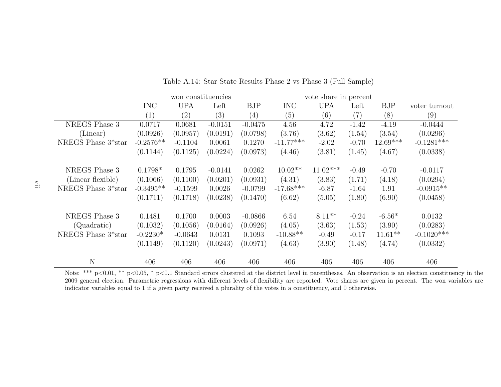|                                 |                   | won constituencies |                   |                   | vote share in percent |            |         |            |               |
|---------------------------------|-------------------|--------------------|-------------------|-------------------|-----------------------|------------|---------|------------|---------------|
|                                 | <b>INC</b>        | <b>UPA</b>         | Left              | <b>BJP</b>        | <b>INC</b>            | <b>UPA</b> | Left    | <b>BJP</b> | voter turnout |
|                                 | $\left( 1\right)$ | $\left( 2\right)$  | $\left( 3\right)$ | $\left( 4\right)$ | (5)                   | (6)        | (7)     | (8)        | (9)           |
| NREGS Phase 3                   | 0.0717            | 0.0681             | $-0.0151$         | $-0.0475$         | 4.56                  | 4.72       | $-1.42$ | $-4.19$    | $-0.0444$     |
| (Linear)                        | (0.0926)          | (0.0957)           | (0.0191)          | (0.0798)          | (3.76)                | (3.62)     | (1.54)  | (3.54)     | (0.0296)      |
| NREGS Phase 3 <sup>*</sup> star | $-0.2576**$       | $-0.1104$          | 0.0061            | 0.1270            | $-11.77***$           | $-2.02$    | $-0.70$ | $12.69***$ | $-0.1281***$  |
|                                 | (0.1144)          | (0.1125)           | (0.0224)          | (0.0973)          | (4.46)                | (3.81)     | (1.45)  | (4.67)     | (0.0338)      |
|                                 |                   |                    |                   |                   |                       |            |         |            |               |
| NREGS Phase 3                   | $0.1798*$         | 0.1795             | $-0.0141$         | 0.0262            | $10.02**$             | $11.02***$ | $-0.49$ | $-0.70$    | $-0.0117$     |
| (Linear flexible)               | (0.1066)          | (0.1100)           | (0.0201)          | (0.0931)          | (4.31)                | (3.83)     | (1.71)  | (4.18)     | (0.0294)      |
| NREGS Phase 3 <sup>*</sup> star | $-0.3495**$       | $-0.1599$          | 0.0026            | $-0.0799$         | $-17.68***$           | $-6.87$    | $-1.64$ | 1.91       | $-0.0915**$   |
|                                 | (0.1711)          | (0.1718)           | (0.0238)          | (0.1470)          | (6.62)                | (5.05)     | (1.80)  | (6.90)     | (0.0458)      |
|                                 |                   |                    |                   |                   |                       |            |         |            |               |
| NREGS Phase 3                   | 0.1481            | 0.1700             | 0.0003            | $-0.0866$         | 6.54                  | $8.11**$   | $-0.24$ | $-6.56*$   | 0.0132        |
| (Quadratic)                     | (0.1032)          | (0.1056)           | (0.0164)          | (0.0926)          | (4.05)                | (3.63)     | (1.53)  | (3.90)     | (0.0283)      |
| NREGS Phase 3*star              | $-0.2230*$        | $-0.0643$          | 0.0131            | 0.1093            | $-10.88**$            | $-0.49$    | $-0.17$ | $11.61**$  | $-0.1020***$  |
|                                 | (0.1149)          | (0.1120)           | (0.0243)          | (0.0971)          | (4.63)                | (3.90)     | (1.48)  | (4.74)     | (0.0332)      |
|                                 |                   |                    |                   |                   |                       |            |         |            |               |
| $\mathbf N$                     | 406               | 406                | 406               | 406               | 406                   | 406        | 406     | 406        | 406           |

Table A.14: Star State Results Phase <sup>2</sup> vs Phase <sup>3</sup> (Full Sample)

Note: \*\*\* p<0.01, \*\* p<0.05, \* p<0.1 Standard errors clustered at the district level in parentheses. An observation is an election constituency in the 2009 general election. Parametric regressions with different levels of flexibility are reported. Vote shares are given in percent. The won variables areindicator variables equal to 1 if <sup>a</sup> given party received <sup>a</sup> <sup>p</sup>lurality of the votes in <sup>a</sup> constituency, and 0 otherwise.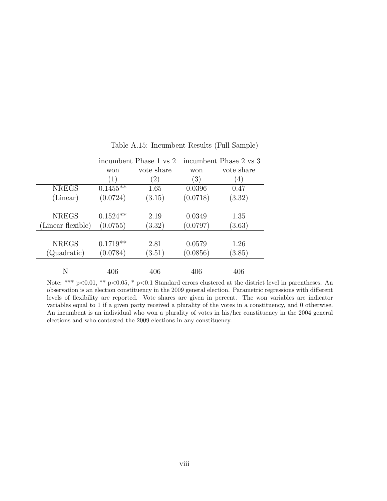|                   |            | incumbent Phase 1 vs 2 | incumbent Phase 2 vs 3 |            |  |  |
|-------------------|------------|------------------------|------------------------|------------|--|--|
|                   | won        | vote share             | won                    | vote share |  |  |
|                   | (1)        | $^{'}2)$               | $\left(3\right)$       | (4)        |  |  |
| <b>NREGS</b>      | $0.1455**$ | 1.65                   | 0.0396                 | 0.47       |  |  |
| (Linear)          | (0.0724)   | (3.15)                 | (0.0718)               | (3.32)     |  |  |
|                   |            |                        |                        |            |  |  |
| <b>NREGS</b>      | $0.1524**$ | 2.19                   | 0.0349                 | 1.35       |  |  |
| (Linear flexible) | (0.0755)   | (3.32)                 | (0.0797)               | (3.63)     |  |  |
|                   |            |                        |                        |            |  |  |
| <b>NREGS</b>      | $0.1719**$ | 2.81                   | 0.0579                 | 1.26       |  |  |
| (Quadratic)       | (0.0784)   | (3.51)                 | (0.0856)               | (3.85)     |  |  |
|                   |            |                        |                        |            |  |  |
| N                 | 406        | 406                    | 406                    | 406        |  |  |

Table A.15: Incumbent Results (Full Sample)

Note: \*\*\* p<0.01, \*\* p<0.05, \* p<0.1 Standard errors clustered at the district level in parentheses. An observation is an election constituency in the 2009 general election. Parametric regressions with different levels of flexibility are reported. Vote shares are given in percent. The won variables are indicator variables equal to 1 if a given party received a plurality of the votes in a constituency, and 0 otherwise. An incumbent is an individual who won a plurality of votes in his/her constituency in the 2004 general elections and who contested the 2009 elections in any constituency.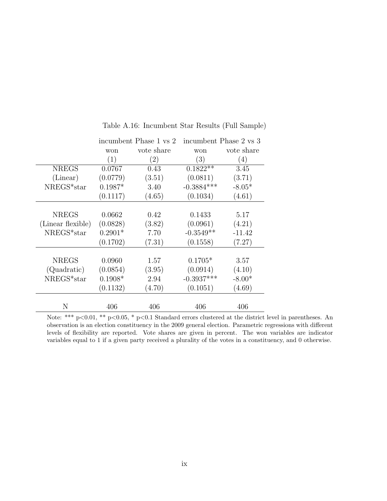|                   |           | incumbent Phase 1 vs 2 |              | incumbent Phase 2 vs 3 |
|-------------------|-----------|------------------------|--------------|------------------------|
|                   | won       | vote share             | won          | vote share             |
|                   | (1)       | (2)                    | (3)          | (4)                    |
| <b>NREGS</b>      | 0.0767    | 0.43                   | $0.1822**$   | 3.45                   |
| (Linear)          | (0.0779)  | (3.51)                 | (0.0811)     | (3.71)                 |
| NREGS*star        | $0.1987*$ | 3.40                   | $-0.3884***$ | $-8.05*$               |
|                   | (0.1117)  | (4.65)                 | (0.1034)     | (4.61)                 |
|                   |           |                        |              |                        |
| <b>NREGS</b>      | 0.0662    | 0.42                   | 0.1433       | 5.17                   |
| (Linear flexible) | (0.0828)  | (3.82)                 | (0.0961)     | (4.21)                 |
| NREGS*star        | $0.2901*$ | 7.70                   | $-0.3549**$  | $-11.42$               |
|                   | (0.1702)  | (7.31)                 | (0.1558)     | (7.27)                 |
|                   |           |                        |              |                        |
| <b>NREGS</b>      | 0.0960    | 1.57                   | $0.1705*$    | 3.57                   |
| (Quadratic)       | (0.0854)  | (3.95)                 | (0.0914)     | (4.10)                 |
| NREGS*star        | $0.1908*$ | 2.94                   | $-0.3937***$ | $-8.00*$               |
|                   | (0.1132)  | (4.70)                 | (0.1051)     | (4.69)                 |
|                   |           |                        |              |                        |
| N                 | 406       | 406                    | 406          | 406                    |

Table A.16: Incumbent Star Results (Full Sample)

Note: \*\*\* p<0.01, \*\* p<0.05, \* p<0.1 Standard errors clustered at the district level in parentheses. An observation is an election constituency in the 2009 general election. Parametric regressions with different levels of flexibility are reported. Vote shares are given in percent. The won variables are indicator variables equal to 1 if a given party received a plurality of the votes in a constituency, and 0 otherwise.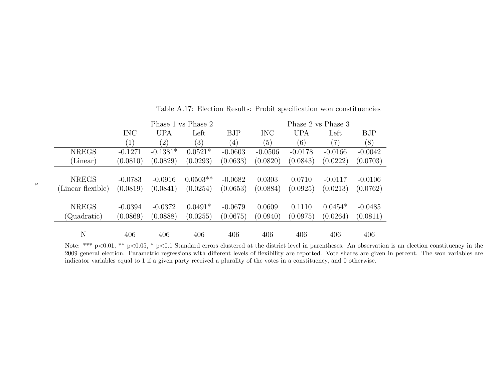|                   |                   |                   | Phase 1 vs Phase 2 |                   | Phase 2 vs Phase 3 |            |           |            |  |
|-------------------|-------------------|-------------------|--------------------|-------------------|--------------------|------------|-----------|------------|--|
|                   | <b>INC</b>        | <b>UPA</b>        | Left               | <b>BJP</b>        | <b>INC</b>         | <b>UPA</b> | Left      | <b>BJP</b> |  |
|                   | $\left( 1\right)$ | $\left( 2\right)$ | (3)                | $\left( 4\right)$ | (5)                | (6)        | (7)       | (8)        |  |
| <b>NREGS</b>      | $-0.1271$         | $-0.1381*$        | $0.0521*$          | $-0.0603$         | $-0.0506$          | $-0.0178$  | $-0.0166$ | $-0.0042$  |  |
| (Linear)          | (0.0810)          | (0.0829)          | (0.0293)           | (0.0633)          | (0.0820)           | (0.0843)   | (0.0222)  | (0.0703)   |  |
|                   |                   |                   |                    |                   |                    |            |           |            |  |
| <b>NREGS</b>      | $-0.0783$         | $-0.0916$         | $0.0503**$         | $-0.0682$         | 0.0303             | 0.0710     | $-0.0117$ | $-0.0106$  |  |
| (Linear flexible) | (0.0819)          | (0.0841)          | (0.0254)           | (0.0653)          | (0.0884)           | (0.0925)   | (0.0213)  | (0.0762)   |  |
|                   |                   |                   |                    |                   |                    |            |           |            |  |
| <b>NREGS</b>      | $-0.0394$         | $-0.0372$         | $0.0491*$          | $-0.0679$         | 0.0609             | 0.1110     | $0.0454*$ | $-0.0485$  |  |
| (Quadratic)       | (0.0869)          | (0.0888)          | (0.0255)           | (0.0675)          | (0.0940)           | (0.0975)   | (0.0264)  | (0.0811)   |  |
|                   |                   |                   |                    |                   |                    |            |           |            |  |
| N                 | 406               | 406               | 406                | 406               | 406                | 406        | 406       | 406        |  |

Table A.17: Election Results: Probit specification won constituencies

N 406 406 406 406 406 406 406 406 Note: \*\*\* <sup>p</sup><sup>&</sup>lt;0.01, \*\* <sup>p</sup><sup>&</sup>lt;0.05, \* <sup>p</sup><sup>&</sup>lt;0.1 Standard errors clustered at the district level in parentheses. An observation is an election constituency in the 2009 general election. Parametric regressions with different levels of flexibility are reported. Vote shares are given in percent. The won variables areindicator variables equal to 1 if <sup>a</sup> given party received <sup>a</sup> <sup>p</sup>lurality of the votes in <sup>a</sup> constituency, and 0 otherwise.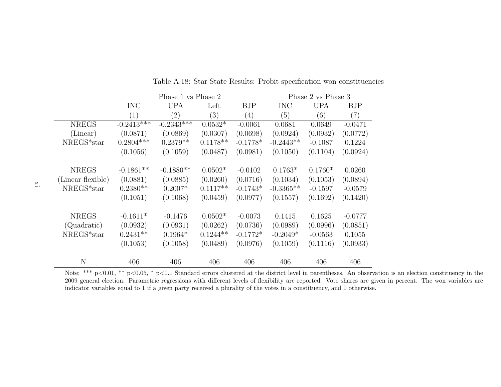|                   |              | Phase 1 vs Phase 2 |            |            | Phase 2 vs Phase 3 |            |            |  |
|-------------------|--------------|--------------------|------------|------------|--------------------|------------|------------|--|
|                   | <b>INC</b>   | <b>UPA</b>         | Left       | <b>BJP</b> | <b>INC</b>         | <b>UPA</b> | <b>BJP</b> |  |
|                   | (1)          | $\left( 2\right)$  | (3)        | (4)        | (5)                | (6)        | (7)        |  |
| <b>NREGS</b>      | $-0.2413***$ | $-0.2343***$       | $0.0532*$  | $-0.0061$  | 0.0681             | 0.0649     | $-0.0471$  |  |
| (Linear)          | (0.0871)     | (0.0869)           | (0.0307)   | (0.0698)   | (0.0924)           | (0.0932)   | (0.0772)   |  |
| $NREGS*star$      | $0.2804***$  | $0.2379**$         | $0.1178**$ | $-0.1778*$ | $-0.2443**$        | $-0.1087$  | 0.1224     |  |
|                   | (0.1056)     | (0.1059)           | (0.0487)   | (0.0981)   | (0.1050)           | (0.1104)   | (0.0924)   |  |
|                   |              |                    |            |            |                    |            |            |  |
| <b>NREGS</b>      | $-0.1861**$  | $-0.1880**$        | $0.0502*$  | $-0.0102$  | $0.1763*$          | $0.1760*$  | 0.0260     |  |
| (Linear flexible) | (0.0881)     | (0.0885)           | (0.0260)   | (0.0716)   | (0.1034)           | (0.1053)   | (0.0894)   |  |
| NREGS*star        | $0.2380**$   | $0.2007*$          | $0.1117**$ | $-0.1743*$ | $-0.3365**$        | $-0.1597$  | $-0.0579$  |  |
|                   | (0.1051)     | (0.1068)           | (0.0459)   | (0.0977)   | (0.1557)           | (0.1692)   | (0.1420)   |  |
|                   |              |                    |            |            |                    |            |            |  |
| <b>NREGS</b>      | $-0.1611*$   | $-0.1476$          | $0.0502*$  | $-0.0073$  | 0.1415             | 0.1625     | $-0.0777$  |  |
| (Quadratic)       | (0.0932)     | (0.0931)           | (0.0262)   | (0.0736)   | (0.0989)           | (0.0996)   | (0.0851)   |  |
| $NREGS*star$      | $0.2431**$   | $0.1964*$          | $0.1244**$ | $-0.1772*$ | $-0.2049*$         | $-0.0563$  | 0.1055     |  |
|                   | (0.1053)     | (0.1058)           | (0.0489)   | (0.0976)   | (0.1059)           | (0.1116)   | (0.0933)   |  |
|                   |              |                    |            |            |                    |            |            |  |
| N                 | 406          | 406                | 406        | 406        | 406                | 406        | 406        |  |

Table A.18: Star State Results: Probit specification won constituencies

Note: \*\*\* p<0.01, \*\* p<0.05, \* p<0.1 Standard errors clustered at the district level in parentheses. An observation is an election constituency in the 2009 general election. Parametric regressions with different levels of flexibility are reported. Vote shares are given in percent. The won variables areindicator variables equal to 1 if <sup>a</sup> given party received <sup>a</sup> <sup>p</sup>lurality of the votes in <sup>a</sup> constituency, and 0 otherwise.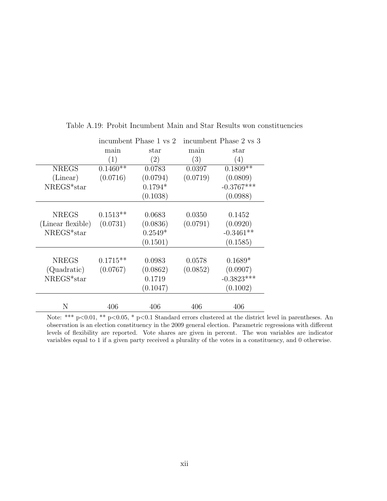|                   |            | incumbent Phase 1 vs 2 |          | incumbent Phase 2 vs 3 |
|-------------------|------------|------------------------|----------|------------------------|
|                   | main       | star                   | main     | star                   |
|                   | (1)        | (2)                    | (3)      | (4)                    |
| <b>NREGS</b>      | $0.1460**$ | 0.0783                 | 0.0397   | $0.1809**$             |
| (Linear)          | (0.0716)   | (0.0794)               | (0.0719) | (0.0809)               |
| NREGS*star        |            | $0.1794*$              |          | $-0.3767***$           |
|                   |            | (0.1038)               |          | (0.0988)               |
|                   |            |                        |          |                        |
| <b>NREGS</b>      | $0.1513**$ | 0.0683                 | 0.0350   | 0.1452                 |
| (Linear flexible) | (0.0731)   | (0.0836)               | (0.0791) | (0.0920)               |
| $NREGS*star$      |            | $0.2549*$              |          | $-0.3461**$            |
|                   |            | (0.1501)               |          | (0.1585)               |
|                   |            |                        |          |                        |
| <b>NREGS</b>      | $0.1715**$ | 0.0983                 | 0.0578   | $0.1689*$              |
| (Quadratic)       | (0.0767)   | (0.0862)               | (0.0852) | (0.0907)               |
| NREGS*star        |            | 0.1719                 |          | $-0.3823***$           |
|                   |            | (0.1047)               |          | (0.1002)               |
|                   |            |                        |          |                        |
| N                 | 406        | 406                    | 406      | 406                    |

Table A.19: Probit Incumbent Main and Star Results won constituencies

Note: \*\*\* p<0.01, \*\* p<0.05, \* p<0.1 Standard errors clustered at the district level in parentheses. An observation is an election constituency in the 2009 general election. Parametric regressions with different levels of flexibility are reported. Vote shares are given in percent. The won variables are indicator variables equal to 1 if a given party received a plurality of the votes in a constituency, and 0 otherwise.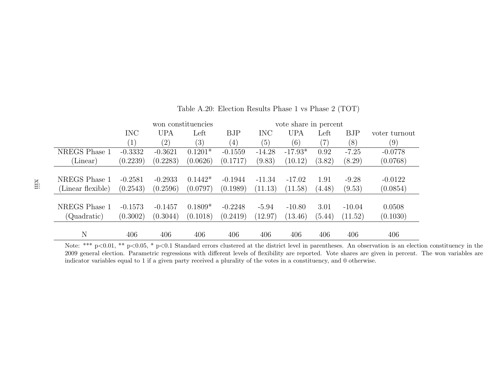|            |            | won constituencies |                  |            | vote share in percent |        |            |               |
|------------|------------|--------------------|------------------|------------|-----------------------|--------|------------|---------------|
| <b>INC</b> | <b>UPA</b> | Left               | <b>BJP</b>       | <b>INC</b> | <b>UPA</b>            | Left   | <b>BJP</b> | voter turnout |
| (1)        | (2)        | (3)                | (4)              | (5)        | (6)                   |        | (8)        | (9)           |
| $-0.3332$  | $-0.3621$  | $0.1201*$          | $-0.1559$        | $-14.28$   | $-17.93*$             | 0.92   | $-7.25$    | $-0.0778$     |
| (0.2239)   | (0.2283)   | (0.0626)           | (0.1717)         | (9.83)     | (10.12)               | (3.82) | (8.29)     | (0.0768)      |
|            |            |                    |                  |            |                       |        |            |               |
| $-0.2581$  | $-0.2933$  | $0.1442*$          | $-0.1944$        | $-11.34$   | $-17.02$              | 1.91   | $-9.28$    | $-0.0122$     |
| (0.2543)   | (0.2596)   | (0.0797)           | (0.1989)         | (11.13)    | (11.58)               | (4.48) | (9.53)     | (0.0854)      |
|            |            |                    |                  |            |                       |        |            |               |
| $-0.1573$  | $-0.1457$  |                    | $-0.2248$        | $-5.94$    | $-10.80$              | 3.01   | $-10.04$   | 0.0508        |
| (0.3002)   | (0.3044)   | (0.1018)           | (0.2419)         | (12.97)    | (13.46)               | (5.44) | (11.52)    | (0.1030)      |
|            |            |                    |                  |            |                       |        |            |               |
|            |            |                    |                  |            |                       |        |            | 406           |
|            | 406        | 406                | $0.1809*$<br>406 | 406        | 406                   | 406    | 406        | 406           |

Table A.20: Election Results Phase <sup>1</sup> vs Phase <sup>2</sup> (TOT)

 2009 general election. Parametric regressions with different levels of flexibility are reported. Vote shares are given in percent. The won variables areindicator variables equal to 1 if <sup>a</sup> given party received <sup>a</sup> <sup>p</sup>lurality of the votes in <sup>a</sup> constituency, and 0 otherwise.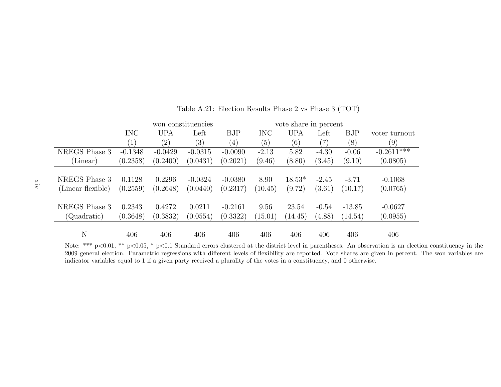|                   |            |            | won constituencies |            |            | vote share in percent |                   |          |               |
|-------------------|------------|------------|--------------------|------------|------------|-----------------------|-------------------|----------|---------------|
|                   | <b>INC</b> | <b>UPA</b> | Left               | <b>BJP</b> | <b>INC</b> | <b>UPA</b>            | Left              | BJP      | voter turnout |
|                   | (1)        | (2)        | (3)                | (4)        | (5)        | (6)                   | $\left( 7\right)$ | (8)      | (9)           |
| NREGS Phase 3     | $-0.1348$  | $-0.0429$  | $-0.0315$          | $-0.0090$  | $-2.13$    | 5.82                  | $-4.30$           | $-0.06$  | $-0.2611$ *** |
| (Linear)          | (0.2358)   | (0.2400)   | (0.0431)           | (0.2021)   | (9.46)     | (8.80)                | (3.45)            | (9.10)   | (0.0805)      |
|                   |            |            |                    |            |            |                       |                   |          |               |
| NREGS Phase 3     | 0.1128     | 0.2296     | $-0.0324$          | $-0.0380$  | 8.90       | $18.53*$              | $-2.45$           | $-3.71$  | $-0.1068$     |
| (Linear flexible) | (0.2559)   | (0.2648)   | (0.0440)           | (0.2317)   | (10.45)    | (9.72)                | (3.61)            | (10.17)  | (0.0765)      |
|                   |            |            |                    |            |            |                       |                   |          |               |
| NREGS Phase 3     | 0.2343     | 0.4272     | 0.0211             | $-0.2161$  | 9.56       | 23.54                 | $-0.54$           | $-13.85$ | $-0.0627$     |
| (Quadratic)       | (0.3648)   | (0.3832)   | (0.0554)           | (0.3322)   | (15.01)    | (14.45)               | (4.88)            | (14.54)  | (0.0955)      |
|                   |            |            |                    |            |            |                       |                   |          |               |
| $\mathbf N$       | 406        | 406        | 406                | 406        | 406        | 406                   | 406               | 406      | 406           |

Table A.21: Election Results Phase <sup>2</sup> vs Phase <sup>3</sup> (TOT)

 2009 general election. Parametric regressions with different levels of flexibility are reported. Vote shares are given in percent. The won variables areindicator variables equal to 1 if <sup>a</sup> given party received <sup>a</sup> <sup>p</sup>lurality of the votes in <sup>a</sup> constituency, and 0 otherwise.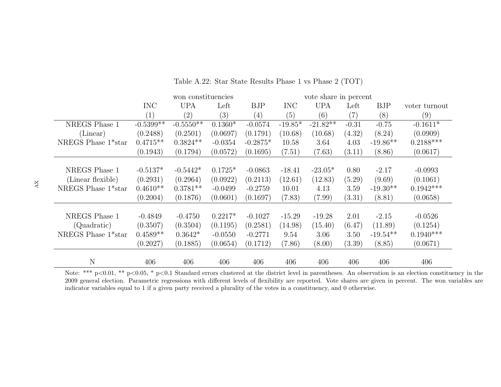|                                 |             | won constituencies |           |            |            |            | vote share in percent |            |               |  |
|---------------------------------|-------------|--------------------|-----------|------------|------------|------------|-----------------------|------------|---------------|--|
|                                 | <b>INC</b>  | <b>UPA</b>         | Left      | <b>BJP</b> | <b>INC</b> | <b>UPA</b> | Left                  | <b>BJP</b> | voter turnout |  |
|                                 | (1)         | $\left( 2\right)$  | (3)       | (4)        | (5)        | (6)        | $\left( 7\right)$     | (8)        | (9)           |  |
| NREGS Phase 1                   | $-0.5399**$ | $-0.5550$ **       | $0.1360*$ | $-0.0574$  | $-19.85*$  | $-21.82**$ | $-0.31$               | $-0.75$    | $-0.1611*$    |  |
| (Linear)                        | (0.2488)    | (0.2501)           | (0.0697)  | (0.1791)   | (10.68)    | (10.68)    | (4.32)                | (8.24)     | (0.0909)      |  |
| NREGS Phase 1 <sup>*</sup> star | $0.4715**$  | $0.3824**$         | $-0.0354$ | $-0.2875*$ | 10.58      | 3.64       | 4.03                  | $-19.86**$ | $0.2188***$   |  |
|                                 | (0.1943)    | (0.1794)           | (0.0572)  | (0.1695)   | (7.51)     | (7.63)     | (3.11)                | (8.86)     | (0.0617)      |  |
|                                 |             |                    |           |            |            |            |                       |            |               |  |
| NREGS Phase 1                   | $-0.5137*$  | $-0.5442*$         | $0.1725*$ | $-0.0863$  | $-18.41$   | $-23.05*$  | 0.80                  | $-2.17$    | $-0.0993$     |  |
| (Linear flexible)               | (0.2931)    | (0.2964)           | (0.0922)  | (0.2113)   | (12.61)    | (12.83)    | (5.29)                | (9.69)     | (0.1061)      |  |
| NREGS Phase 1 <sup>*</sup> star | $0.4610**$  | $0.3781**$         | $-0.0499$ | $-0.2759$  | 10.01      | 4.13       | 3.59                  | $-19.30**$ | $0.1942***$   |  |
|                                 | (0.2004)    | (0.1876)           | (0.0601)  | (0.1697)   | (7.83)     | (7.99)     | (3.31)                | (8.81)     | (0.0658)      |  |
|                                 |             |                    |           |            |            |            |                       |            |               |  |
| NREGS Phase 1                   | $-0.4849$   | $-0.4750$          | $0.2217*$ | $-0.1027$  | $-15.29$   | $-19.28$   | 2.01                  | $-2.15$    | $-0.0526$     |  |
| (Quadratic)                     | (0.3507)    | (0.3504)           | (0.1195)  | (0.2581)   | (14.98)    | (15.40)    | (6.47)                | (11.89)    | (0.1254)      |  |
| NREGS Phase $1*$ star           | $0.4589**$  | $0.3642*$          | $-0.0550$ | $-0.2771$  | 9.54       | 3.06       | 3.50                  | $-19.54**$ | $0.1940***$   |  |
|                                 | (0.2027)    | (0.1885)           | (0.0654)  | (0.1712)   | (7.86)     | (8.00)     | (3.39)                | (8.85)     | (0.0671)      |  |
|                                 |             |                    |           |            |            |            |                       |            |               |  |
| $\mathbf N$                     | 406         | 406                | 406       | 406        | 406        | 406        | 406                   | 406        | 406           |  |

Table A.22: Star State Results Phase <sup>1</sup> vs Phase <sup>2</sup> (TOT)

Note: \*\*\* p<0.01, \*\* p<0.05, \* p<0.1 Standard errors clustered at the district level in parentheses. An observation is an election constituency in the 2009 general election. Parametric regressions with different levels of flexibility are reported. Vote shares are given in percent. The won variables areindicator variables equal to 1 if <sup>a</sup> given party received <sup>a</sup> <sup>p</sup>lurality of the votes in <sup>a</sup> constituency, and 0 otherwise.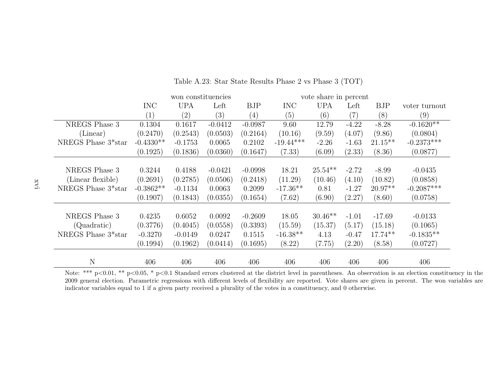|                                 |             | won constituencies |           |            |             |            | vote share in percent |            |               |  |
|---------------------------------|-------------|--------------------|-----------|------------|-------------|------------|-----------------------|------------|---------------|--|
|                                 | <b>INC</b>  | <b>UPA</b>         | Left      | <b>BJP</b> | <b>INC</b>  | <b>UPA</b> | Left                  | <b>BJP</b> | voter turnout |  |
|                                 | (1)         | $\left( 2\right)$  | (3)       | (4)        | (5)         | (6)        | (7)                   | (8)        | (9)           |  |
| NREGS Phase 3                   | 0.1304      | 0.1617             | $-0.0412$ | $-0.0987$  | 9.60        | 12.79      | $-4.22$               | $-8.28$    | $-0.1620**$   |  |
| (Linear)                        | (0.2470)    | (0.2543)           | (0.0503)  | (0.2164)   | (10.16)     | (9.59)     | (4.07)                | (9.86)     | (0.0804)      |  |
| NREGS Phase 3 <sup>*</sup> star | $-0.4330**$ | $-0.1753$          | 0.0065    | 0.2102     | $-19.44***$ | $-2.26$    | $-1.63$               | $21.15***$ | $-0.2373***$  |  |
|                                 | (0.1925)    | (0.1836)           | (0.0360)  | (0.1647)   | (7.33)      | (6.09)     | (2.33)                | (8.36)     | (0.0877)      |  |
|                                 |             |                    |           |            |             |            |                       |            |               |  |
| NREGS Phase 3                   | 0.3244      | 0.4188             | $-0.0421$ | $-0.0998$  | 18.21       | $25.54**$  | $-2.72$               | $-8.99$    | $-0.0435$     |  |
| (Linear flexible)               | (0.2691)    | (0.2785)           | (0.0506)  | (0.2418)   | (11.29)     | (10.46)    | (4.10)                | (10.82)    | (0.0858)      |  |
| NREGS Phase 3 <sup>*</sup> star | $-0.3862**$ | $-0.1134$          | 0.0063    | 0.2099     | $-17.36**$  | 0.81       | $-1.27$               | $20.97**$  | $-0.2087***$  |  |
|                                 | (0.1907)    | (0.1843)           | (0.0355)  | (0.1654)   | (7.62)      | (6.90)     | (2.27)                | (8.60)     | (0.0758)      |  |
|                                 |             |                    |           |            |             |            |                       |            |               |  |
| NREGS Phase 3                   | 0.4235      | 0.6052             | 0.0092    | $-0.2609$  | 18.05       | $30.46**$  | $-1.01$               | $-17.69$   | $-0.0133$     |  |
| (Quadratic)                     | (0.3776)    | (0.4045)           | (0.0558)  | (0.3393)   | (15.59)     | (15.37)    | (5.17)                | (15.18)    | (0.1065)      |  |
| NREGS Phase 3*star              | $-0.3270$   | $-0.0149$          | 0.0247    | 0.1515     | $-16.38**$  | 4.13       | $-0.47$               | $17.74**$  | $-0.1835**$   |  |
|                                 | (0.1994)    | (0.1962)           | (0.0414)  | (0.1695)   | (8.22)      | (7.75)     | (2.20)                | (8.58)     | (0.0727)      |  |
|                                 |             |                    |           |            |             |            |                       |            |               |  |
| $\mathbf N$                     | 406         | 406                | 406       | 406        | 406         | 406        | 406                   | 406        | 406           |  |

Table A.23: Star State Results Phase <sup>2</sup> vs Phase <sup>3</sup> (TOT)

Note: \*\*\* p<0.01, \*\* p<0.05, \* p<0.1 Standard errors clustered at the district level in parentheses. An observation is an election constituency in the 2009 general election. Parametric regressions with different levels of flexibility are reported. Vote shares are given in percent. The won variables areindicator variables equal to 1 if <sup>a</sup> given party received <sup>a</sup> <sup>p</sup>lurality of the votes in <sup>a</sup> constituency, and 0 otherwise.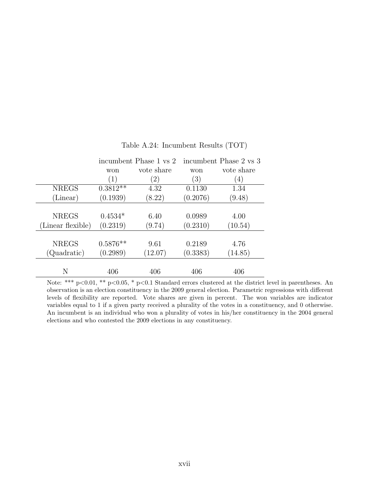|                   |            | incumbent Phase 1 vs 2 |                   | incumbent Phase 2 vs 3 |
|-------------------|------------|------------------------|-------------------|------------------------|
|                   | won        | vote share             | won               | vote share             |
|                   | (1)        | (2)                    | $\left( 3\right)$ | $\left(4\right)$       |
| <b>NREGS</b>      | $0.3812**$ | 4.32                   | 0.1130            | 1.34                   |
| (Linear)          | (0.1939)   | (8.22)                 | (0.2076)          | (9.48)                 |
|                   |            |                        |                   |                        |
| <b>NREGS</b>      | $0.4534*$  | 6.40                   | 0.0989            | 4.00                   |
| (Linear flexible) | (0.2319)   | (9.74)                 | (0.2310)          | (10.54)                |
|                   |            |                        |                   |                        |
| <b>NREGS</b>      | $0.5876**$ | 9.61                   | 0.2189            | 4.76                   |
| (Quadratic)       | (0.2989)   | (12.07)                | (0.3383)          | (14.85)                |
|                   |            |                        |                   |                        |
| Ν                 | 406        | 406                    | 406               | 406                    |

#### Table A.24: Incumbent Results (TOT)

Note: \*\*\* p<0.01, \*\* p<0.05, \* p<0.1 Standard errors clustered at the district level in parentheses. An observation is an election constituency in the 2009 general election. Parametric regressions with different levels of flexibility are reported. Vote shares are given in percent. The won variables are indicator variables equal to 1 if a given party received a plurality of the votes in a constituency, and 0 otherwise. An incumbent is an individual who won a plurality of votes in his/her constituency in the 2004 general elections and who contested the 2009 elections in any constituency.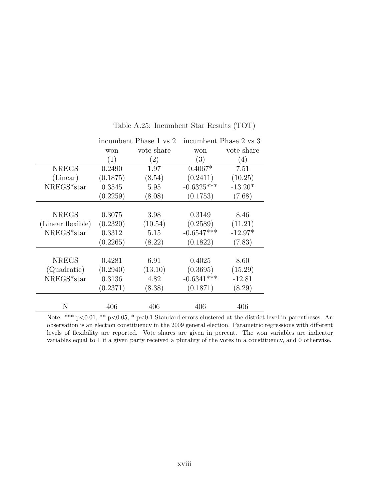|                   |            | incumbent Phase 1 vs 2 | incumbent Phase 2 vs 3 |            |
|-------------------|------------|------------------------|------------------------|------------|
|                   | won        | vote share             | won                    | vote share |
|                   | (1)<br>(2) |                        | (3)                    | (4)        |
| <b>NREGS</b>      | 0.2490     | 1.97                   | $0.4067*$              | 7.51       |
| (Linear)          | (0.1875)   | (8.54)                 | (0.2411)               | (10.25)    |
| NREGS*star        | 0.3545     | 5.95                   | $-0.6325***$           | $-13.20*$  |
|                   | (0.2259)   | (8.08)                 | (0.1753)               | (7.68)     |
|                   |            |                        |                        |            |
| <b>NREGS</b>      | 0.3075     | 3.98                   | 0.3149                 | 8.46       |
| (Linear flexible) | (0.2320)   | (10.54)                | (0.2589)               | (11.21)    |
| NREGS*star        | 0.3312     | 5.15                   | $-0.6547***$           | $-12.97*$  |
|                   | (0.2265)   | (8.22)                 | (0.1822)               | (7.83)     |
|                   |            |                        |                        |            |
| <b>NREGS</b>      | 0.4281     | 6.91                   | 0.4025                 | 8.60       |
| (Quadratic)       | (0.2940)   | (13.10)                | (0.3695)               | (15.29)    |
| NREGS*star        | 0.3136     | 4.82                   | $-0.6341***$           | $-12.81$   |
|                   | (0.2371)   | (8.38)                 | (0.1871)               | (8.29)     |
| N                 | 406        | 406                    | 406                    | 406        |

Table A.25: Incumbent Star Results (TOT)

Note: \*\*\* p<0.01, \*\* p<0.05, \* p<0.1 Standard errors clustered at the district level in parentheses. An observation is an election constituency in the 2009 general election. Parametric regressions with different levels of flexibility are reported. Vote shares are given in percent. The won variables are indicator variables equal to 1 if a given party received a plurality of the votes in a constituency, and 0 otherwise.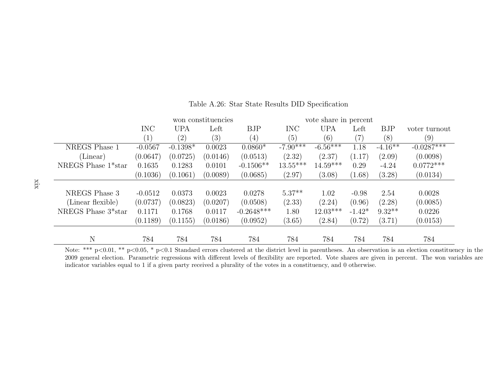|                                 | won constituencies |                   |                   | vote share in percent |            |            |                   |            |               |
|---------------------------------|--------------------|-------------------|-------------------|-----------------------|------------|------------|-------------------|------------|---------------|
|                                 | <b>INC</b>         | <b>UPA</b>        | Left              | <b>BJP</b>            | <b>INC</b> | <b>UPA</b> | Left              | <b>BJP</b> | voter turnout |
|                                 | $\left( 1\right)$  | $\left( 2\right)$ | $\left( 3\right)$ | $\left(4\right)$      | (5)        | (6)        | $\left( 7\right)$ | (8)        | (9)           |
| NREGS Phase 1                   | $-0.0567$          | $-0.1398*$        | 0.0023            | $0.0860*$             | $-7.90***$ | $-6.56***$ | 1.18              | $-4.16**$  | $-0.0287***$  |
| (Linear)                        | (0.0647)           | (0.0725)          | (0.0146)          | (0.0513)              | (2.32)     | (2.37)     | (1.17)            | (2.09)     | (0.0098)      |
| NREGS Phase 1 <sup>*</sup> star | 0.1635             | 0.1283            | 0.0101            | $-0.1506**$           | $13.55***$ | $14.59***$ | 0.29              | $-4.24$    | $0.0772***$   |
|                                 | (0.1036)           | (0.1061)          | (0.0089)          | (0.0685)              | (2.97)     | (3.08)     | (1.68)            | (3.28)     | (0.0134)      |
|                                 |                    |                   |                   |                       |            |            |                   |            |               |
| NREGS Phase 3                   | $-0.0512$          | 0.0373            | 0.0023            | 0.0278                | $5.37**$   | 1.02       | $-0.98$           | 2.54       | 0.0028        |
| (Linear flexible)               | (0.0737)           | (0.0823)          | (0.0207)          | (0.0508)              | (2.33)     | (2.24)     | (0.96)            | (2.28)     | (0.0085)      |
| NREGS Phase 3 <sup>*</sup> star | 0.1171             | 0.1768            | 0.0117            | $-0.2648***$          | 1.80       | $12.03***$ | $-1.42*$          | $9.32**$   | 0.0226        |
|                                 | (0.1189)           | (0.1155)          | (0.0186)          | (0.0952)              | (3.65)     | (2.84)     | (0.72)            | (3.71)     | (0.0153)      |
|                                 |                    |                   |                   |                       |            |            |                   |            |               |
| N                               | 784                | 784               | 784               | 784                   | 784        | 784        | 784               | 784        | 784           |

Table A.26: Star State Results DID Specification

Note: \*\*\*  $p<0.01$ , \*\*  $p<0.05$ , \*  $p<0.1$  Standard errors clustered at the district level in parentheses. An observation is an election constituency in the 2009 general election. Parametric regressions with different levels of flexibility are reported. Vote shares are given in percent. The won variables areindicator variables equal to 1 if <sup>a</sup> given party received <sup>a</sup> <sup>p</sup>lurality of the votes in <sup>a</sup> constituency, and 0 otherwise.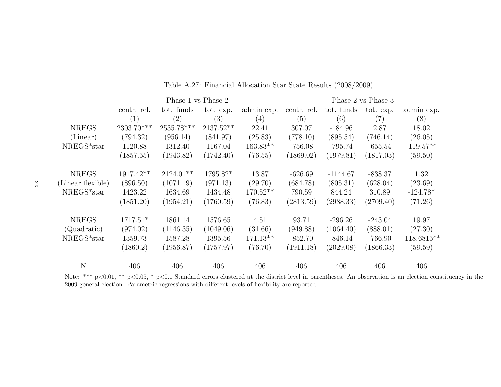|                   | Phase 1 vs Phase 2 |                         |           |                   | Phase 2 vs Phase 3 |            |                   |               |
|-------------------|--------------------|-------------------------|-----------|-------------------|--------------------|------------|-------------------|---------------|
|                   | centr. rel.        | tot. funds              | tot. exp. | admin exp.        | centr. rel.        | tot. funds | tot. exp.         | admin exp.    |
|                   | $\left(1\right)$   | (2)                     | (3)       | $\left( 4\right)$ | (5)                | (6)        | $\left( 7\right)$ | (8)           |
| <b>NREGS</b>      | $2303.70***$       | $25\overline{35.78***}$ | 2137.52** | 22.41             | 307.07             | $-184.96$  | 2.87              | 18.02         |
| (Linear)          | (794.32)           | (956.14)                | (841.97)  | (25.83)           | (778.10)           | (895.54)   | (746.14)          | (26.05)       |
| NREGS*star        | 1120.88            | 1312.40                 | 1167.04   | $163.83**$        | $-756.08$          | $-795.74$  | $-655.54$         | $-119.57**$   |
|                   | (1857.55)          | (1943.82)               | (1742.40) | (76.55)           | (1869.02)          | (1979.81)  | (1817.03)         | (59.50)       |
|                   |                    |                         |           |                   |                    |            |                   |               |
| <b>NREGS</b>      | 1917.42**          | 2124.01**               | 1795.82*  | 13.87             | $-626.69$          | $-1144.67$ | $-838.37$         | 1.32          |
| (Linear flexible) | (896.50)           | (1071.19)               | (971.13)  | (29.70)           | (684.78)           | (805.31)   | (628.04)          | (23.69)       |
| NREGS*star        | 1423.22            | 1634.69                 | 1434.48   | $170.52**$        | 790.59             | 844.24     | 310.89            | $-124.78*$    |
|                   | (1851.20)          | (1954.21)               | (1760.59) | (76.83)           | (2813.59)          | (2988.33)  | (2709.40)         | (71.26)       |
|                   |                    |                         |           |                   |                    |            |                   |               |
| <b>NREGS</b>      | $1717.51*$         | 1861.14                 | 1576.65   | 4.51              | 93.71              | $-296.26$  | $-243.04$         | 19.97         |
| (Quadratic)       | (974.02)           | (1146.35)               | (1049.06) | (31.66)           | (949.88)           | (1064.40)  | (888.01)          | (27.30)       |
| NREGS*star        | 1359.73            | 1587.28                 | 1395.56   | $171.13**$        | $-852.70$          | $-846.14$  | $-766.90$         | $-118.6815**$ |
|                   | (1860.2)           | (1956.87)               | (1757.97) | (76.70)           | (1911.18)          | (2029.08)  | (1866.33)         | (59.59)       |
| $\mathbf N$       | 406                | 406                     | 406       | 406               | 406                | 406        | 406               | 406           |
|                   |                    |                         |           |                   |                    |            |                   |               |

Table A.27: Financial Allocation Star State Results (2008/2009)

Note: \*\*\* p<0.01, \*\* p<0.05, \* p<0.1 Standard errors clustered at the district level in parentheses. An observation is an election constituency in the 2009 general election. Parametric regressions with different levels of flexibility are reported.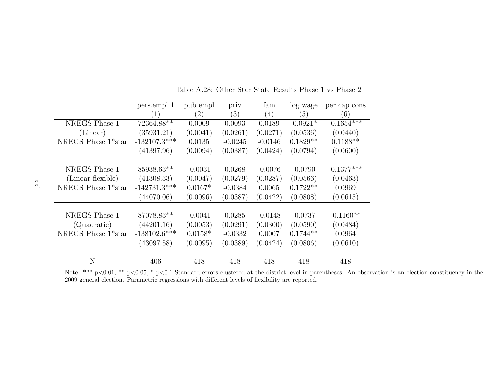|                                 | pers.empl 1<br>$\left(1\right)$ | pub empl<br>$\left( 2\right)$ | priv<br>(3) | fam<br>(4) | log wage<br>(5) | per cap cons<br>(6) |
|---------------------------------|---------------------------------|-------------------------------|-------------|------------|-----------------|---------------------|
| NREGS Phase 1                   | 72364.88**                      | 0.0009                        | 0.0093      | 0.0189     | $-0.0921*$      | $-0.1654***$        |
| (Linear)                        | (35931.21)                      | (0.0041)                      | (0.0261)    | (0.0271)   | (0.0536)        | (0.0440)            |
| NREGS Phase 1 <sup>*</sup> star | $-132107.3***$                  | 0.0135                        | $-0.0245$   | $-0.0146$  | $0.1829**$      | $0.1188**$          |
|                                 | (41397.96)                      | (0.0094)                      | (0.0387)    | (0.0424)   | (0.0794)        | (0.0600)            |
|                                 |                                 |                               |             |            |                 |                     |
| NREGS Phase 1                   | 85938.63**                      | $-0.0031$                     | 0.0268      | $-0.0076$  | $-0.0790$       | $-0.1377***$        |
| (Linear flexible)               | (41308.33)                      | (0.0047)                      | (0.0279)    | (0.0287)   | (0.0566)        | (0.0463)            |
| NREGS Phase 1 <sup>*</sup> star | $-142731.3***$                  | $0.0167*$                     | $-0.0384$   | 0.0065     | $0.1722**$      | 0.0969              |
|                                 | (44070.06)                      | (0.0096)                      | (0.0387)    | (0.0422)   | (0.0808)        | (0.0615)            |
|                                 |                                 |                               |             |            |                 |                     |
| NREGS Phase 1                   | 87078.83**                      | $-0.0041$                     | 0.0285      | $-0.0148$  | $-0.0737$       | $-0.1160**$         |
| (Quadratic)                     | (44201.16)                      | (0.0053)                      | (0.0291)    | (0.0300)   | (0.0590)        | (0.0484)            |
| NREGS Phase 1*star              | $-138102.6***$                  | $0.0158*$                     | $-0.0332$   | 0.0007     | $0.1744**$      | 0.0964              |
|                                 | (43097.58)                      | (0.0095)                      | (0.0389)    | (0.0424)   | (0.0806)        | (0.0610)            |
| N                               | 406                             | 418                           | 418         | 418        | 418             | 418                 |

Table A.28: Other Star State Results Phase 1 vs Phase 2

Note: \*\*\*  $p<0.01$ , \*\*  $p<0.05$ , \*  $p<0.1$  Standard errors clustered at the district level in parentheses. An observation is an election constituency in the 2009 general election. Parametric regressions with different levels of flexibility are reported.